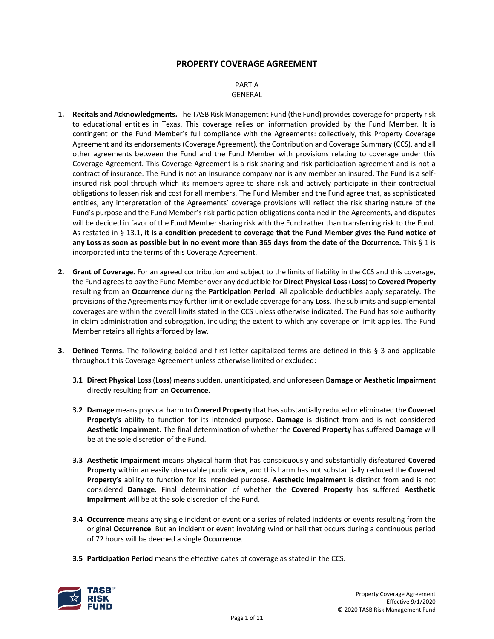# **PROPERTY COVERAGE AGREEMENT**

#### PART A GENERAL

- **1. Recitals and Acknowledgments.** The TASB Risk Management Fund (the Fund) provides coverage for property risk to educational entities in Texas. This coverage relies on information provided by the Fund Member. It is contingent on the Fund Member's full compliance with the Agreements: collectively, this Property Coverage Agreement and its endorsements (Coverage Agreement), the Contribution and Coverage Summary (CCS), and all other agreements between the Fund and the Fund Member with provisions relating to coverage under this Coverage Agreement. This Coverage Agreement is a risk sharing and risk participation agreement and is not a contract of insurance. The Fund is not an insurance company nor is any member an insured. The Fund is a selfinsured risk pool through which its members agree to share risk and actively participate in their contractual obligations to lessen risk and cost for all members. The Fund Member and the Fund agree that, as sophisticated entities, any interpretation of the Agreements' coverage provisions will reflect the risk sharing nature of the Fund's purpose and the Fund Member's risk participation obligations contained in the Agreements, and disputes will be decided in favor of the Fund Member sharing risk with the Fund rather than transferring risk to the Fund. As restated in § 13.1, **it is a condition precedent to coverage that the Fund Member gives the Fund notice of any Loss as soon as possible but in no event more than 365 days from the date of the Occurrence.** This § 1 is incorporated into the terms of this Coverage Agreement.
- **2. Grant of Coverage.** For an agreed contribution and subject to the limits of liability in the CCS and this coverage, the Fund agrees to pay the Fund Member over any deductible for **Direct Physical Loss**(**Loss**) to **Covered Property** resulting from an **Occurrence** during the **Participation Period**. All applicable deductibles apply separately. The provisions of the Agreements may further limit or exclude coverage for any **Loss**. The sublimits and supplemental coverages are within the overall limits stated in the CCS unless otherwise indicated. The Fund has sole authority in claim administration and subrogation, including the extent to which any coverage or limit applies. The Fund Member retains all rights afforded by law.
- **3. Defined Terms.** The following bolded and first-letter capitalized terms are defined in this § 3 and applicable throughout this Coverage Agreement unless otherwise limited or excluded:
	- **3.1 Direct Physical Loss** (**Loss**) means sudden, unanticipated, and unforeseen **Damage** or **Aesthetic Impairment** directly resulting from an **Occurrence**.
	- **3.2 Damage** means physical harm to **Covered Property** that has substantially reduced or eliminated the **Covered Property's** ability to function for its intended purpose. **Damage** is distinct from and is not considered **Aesthetic Impairment**. The final determination of whether the **Covered Property** has suffered **Damage** will be at the sole discretion of the Fund.
	- **3.3 Aesthetic Impairment** means physical harm that has conspicuously and substantially disfeatured **Covered Property** within an easily observable public view, and this harm has not substantially reduced the **Covered Property's** ability to function for its intended purpose. **Aesthetic Impairment** is distinct from and is not considered **Damage**. Final determination of whether the **Covered Property** has suffered **Aesthetic Impairment** will be at the sole discretion of the Fund.
	- **3.4 Occurrence** means any single incident or event or a series of related incidents or events resulting from the original **Occurrence**. But an incident or event involving wind or hail that occurs during a continuous period of 72 hours will be deemed a single **Occurrence**.
	- **3.5 Participation Period** means the effective dates of coverage as stated in the CCS.

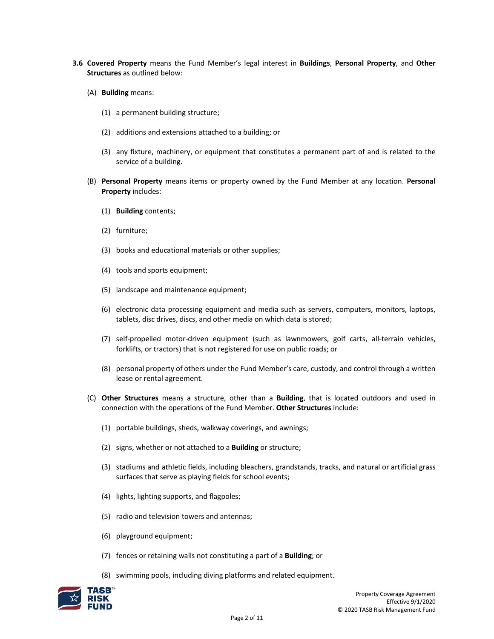- **3.6 Covered Property** means the Fund Member's legal interest in **Buildings**, **Personal Property**, and **Other Structures** as outlined below:
	- (A) **Building** means:
		- (1) a permanent building structure;
		- (2) additions and extensions attached to a building; or
		- (3) any fixture, machinery, or equipment that constitutes a permanent part of and is related to the service of a building.
	- (B) **Personal Property** means items or property owned by the Fund Member at any location. **Personal Property** includes:
		- (1) **Building** contents;
		- (2) furniture;
		- (3) books and educational materials or other supplies;
		- (4) tools and sports equipment;
		- (5) landscape and maintenance equipment;
		- (6) electronic data processing equipment and media such as servers, computers, monitors, laptops, tablets, disc drives, discs, and other media on which data is stored;
		- (7) self-propelled motor-driven equipment (such as lawnmowers, golf carts, all-terrain vehicles, forklifts, or tractors) that is not registered for use on public roads; or
		- (8) personal property of others under the Fund Member's care, custody, and control through a written lease or rental agreement.
	- (C) **Other Structures** means a structure, other than a **Building**, that is located outdoors and used in connection with the operations of the Fund Member. **Other Structures** include:
		- (1) portable buildings, sheds, walkway coverings, and awnings;
		- (2) signs, whether or not attached to a **Building** or structure;
		- (3) stadiums and athletic fields, including bleachers, grandstands, tracks, and natural or artificial grass surfaces that serve as playing fields for school events;
		- (4) lights, lighting supports, and flagpoles;
		- (5) radio and television towers and antennas;
		- (6) playground equipment;
		- (7) fences or retaining walls not constituting a part of a **Building**; or
		- (8) swimming pools, including diving platforms and related equipment.

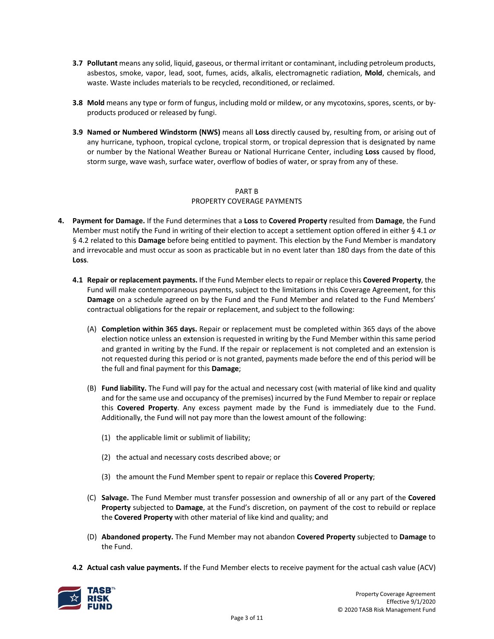- **3.7 Pollutant** means any solid, liquid, gaseous, or thermal irritant or contaminant, including petroleum products, asbestos, smoke, vapor, lead, soot, fumes, acids, alkalis, electromagnetic radiation, **Mold**, chemicals, and waste. Waste includes materials to be recycled, reconditioned, or reclaimed.
- **3.8 Mold** means any type or form of fungus, including mold or mildew, or any mycotoxins, spores, scents, or byproducts produced or released by fungi.
- **3.9 Named or Numbered Windstorm (NWS)** means all **Loss** directly caused by, resulting from, or arising out of any hurricane, typhoon, tropical cyclone, tropical storm, or tropical depression that is designated by name or number by the National Weather Bureau or National Hurricane Center, including **Loss** caused by flood, storm surge, wave wash, surface water, overflow of bodies of water, or spray from any of these.

#### PART B

# PROPERTY COVERAGE PAYMENTS

- **4. Payment for Damage.** If the Fund determines that a **Loss** to **Covered Property** resulted from **Damage**, the Fund Member must notify the Fund in writing of their election to accept a settlement option offered in either § 4.1 *or* § 4.2 related to this **Damage** before being entitled to payment. This election by the Fund Member is mandatory and irrevocable and must occur as soon as practicable but in no event later than 180 days from the date of this **Loss**.
	- **4.1 Repair or replacement payments.** If the Fund Member elects to repair or replace this **Covered Property**, the Fund will make contemporaneous payments, subject to the limitations in this Coverage Agreement, for this **Damage** on a schedule agreed on by the Fund and the Fund Member and related to the Fund Members' contractual obligations for the repair or replacement, and subject to the following:
		- (A) **Completion within 365 days.** Repair or replacement must be completed within 365 days of the above election notice unless an extension is requested in writing by the Fund Member within this same period and granted in writing by the Fund. If the repair or replacement is not completed and an extension is not requested during this period or is not granted, payments made before the end of this period will be the full and final payment for this **Damage**;
		- (B) **Fund liability.** The Fund will pay for the actual and necessary cost (with material of like kind and quality and for the same use and occupancy of the premises) incurred by the Fund Member to repair or replace this **Covered Property**. Any excess payment made by the Fund is immediately due to the Fund. Additionally, the Fund will not pay more than the lowest amount of the following:
			- (1) the applicable limit or sublimit of liability;
			- (2) the actual and necessary costs described above; or
			- (3) the amount the Fund Member spent to repair or replace this **Covered Property**;
		- (C) **Salvage.** The Fund Member must transfer possession and ownership of all or any part of the **Covered Property** subjected to **Damage**, at the Fund's discretion, on payment of the cost to rebuild or replace the **Covered Property** with other material of like kind and quality; and
		- (D) **Abandoned property.** The Fund Member may not abandon **Covered Property** subjected to **Damage** to the Fund.
	- **4.2 Actual cash value payments.** If the Fund Member elects to receive payment for the actual cash value (ACV)

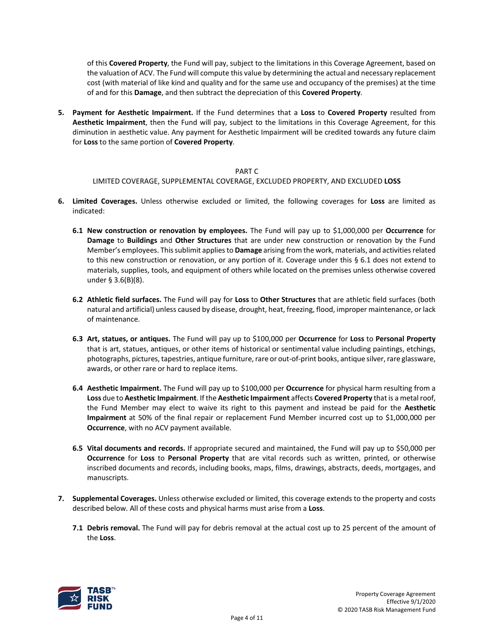of this **Covered Property**, the Fund will pay, subject to the limitations in this Coverage Agreement, based on the valuation of ACV. The Fund will compute this value by determining the actual and necessary replacement cost (with material of like kind and quality and for the same use and occupancy of the premises) at the time of and for this **Damage**, and then subtract the depreciation of this **Covered Property**.

**5. Payment for Aesthetic Impairment.** If the Fund determines that a **Loss** to **Covered Property** resulted from **Aesthetic Impairment**, then the Fund will pay, subject to the limitations in this Coverage Agreement, for this diminution in aesthetic value. Any payment for Aesthetic Impairment will be credited towards any future claim for **Loss** to the same portion of **Covered Property**.

#### PART C

LIMITED COVERAGE, SUPPLEMENTAL COVERAGE, EXCLUDED PROPERTY, AND EXCLUDED **LOSS**

- **6. Limited Coverages.** Unless otherwise excluded or limited, the following coverages for **Loss** are limited as indicated:
	- **6.1 New construction or renovation by employees.** The Fund will pay up to \$1,000,000 per **Occurrence** for **Damage** to **Buildings** and **Other Structures** that are under new construction or renovation by the Fund Member's employees. This sublimit applies to **Damage** arising from the work, materials, and activities related to this new construction or renovation, or any portion of it. Coverage under this § 6.1 does not extend to materials, supplies, tools, and equipment of others while located on the premises unless otherwise covered under § 3.6(B)(8).
	- **6.2 Athletic field surfaces.** The Fund will pay for **Loss** to **Other Structures** that are athletic field surfaces (both natural and artificial) unless caused by disease, drought, heat, freezing, flood, improper maintenance, or lack of maintenance.
	- **6.3 Art, statues, or antiques.** The Fund will pay up to \$100,000 per **Occurrence** for **Loss** to **Personal Property** that is art, statues, antiques, or other items of historical or sentimental value including paintings, etchings, photographs, pictures, tapestries, antique furniture, rare or out-of-print books, antique silver, rare glassware, awards, or other rare or hard to replace items.
	- **6.4 Aesthetic Impairment.** The Fund will pay up to \$100,000 per **Occurrence** for physical harm resulting from a **Loss** due to **Aesthetic Impairment**. Ifthe **Aesthetic Impairment** affects **Covered Property** that is a metal roof, the Fund Member may elect to waive its right to this payment and instead be paid for the **Aesthetic Impairment** at 50% of the final repair or replacement Fund Member incurred cost up to \$1,000,000 per **Occurrence**, with no ACV payment available.
	- **6.5 Vital documents and records.** If appropriate secured and maintained, the Fund will pay up to \$50,000 per **Occurrence** for **Loss** to **Personal Property** that are vital records such as written, printed, or otherwise inscribed documents and records, including books, maps, films, drawings, abstracts, deeds, mortgages, and manuscripts.
- **7. Supplemental Coverages.** Unless otherwise excluded or limited, this coverage extends to the property and costs described below. All of these costs and physical harms must arise from a **Loss**.
	- **7.1 Debris removal.** The Fund will pay for debris removal at the actual cost up to 25 percent of the amount of the **Loss**.

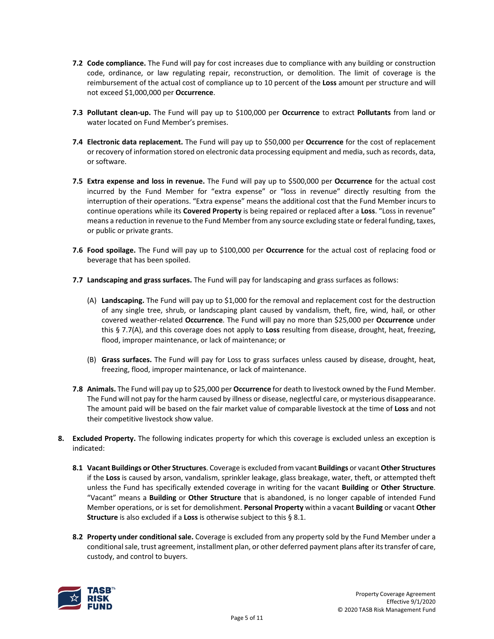- **7.2 Code compliance.** The Fund will pay for cost increases due to compliance with any building or construction code, ordinance, or law regulating repair, reconstruction, or demolition. The limit of coverage is the reimbursement of the actual cost of compliance up to 10 percent of the **Loss** amount per structure and will not exceed \$1,000,000 per **Occurrence**.
- **7.3 Pollutant clean‐up.** The Fund will pay up to \$100,000 per **Occurrence** to extract **Pollutants** from land or water located on Fund Member's premises.
- **7.4 Electronic data replacement.** The Fund will pay up to \$50,000 per **Occurrence** for the cost of replacement or recovery of information stored on electronic data processing equipment and media, such as records, data, or software.
- **7.5 Extra expense and loss in revenue.** The Fund will pay up to \$500,000 per **Occurrence** for the actual cost incurred by the Fund Member for "extra expense" or "loss in revenue" directly resulting from the interruption of their operations. "Extra expense" means the additional cost that the Fund Member incurs to continue operations while its **Covered Property** is being repaired or replaced after a **Loss**. "Loss in revenue" means a reduction in revenue to the Fund Member from any source excluding state or federal funding, taxes, or public or private grants.
- **7.6 Food spoilage.** The Fund will pay up to \$100,000 per **Occurrence** for the actual cost of replacing food or beverage that has been spoiled.
- **7.7 Landscaping and grass surfaces.** The Fund will pay for landscaping and grass surfaces as follows:
	- (A) **Landscaping.** The Fund will pay up to \$1,000 for the removal and replacement cost for the destruction of any single tree, shrub, or landscaping plant caused by vandalism, theft, fire, wind, hail, or other covered weather-related **Occurrence**. The Fund will pay no more than \$25,000 per **Occurrence** under this § 7.7(A), and this coverage does not apply to **Loss** resulting from disease, drought, heat, freezing, flood, improper maintenance, or lack of maintenance; or
	- (B) **Grass surfaces.** The Fund will pay for Loss to grass surfaces unless caused by disease, drought, heat, freezing, flood, improper maintenance, or lack of maintenance.
- **7.8 Animals.** The Fund will pay up to \$25,000 per **Occurrence** for death to livestock owned by the Fund Member. The Fund will not pay for the harm caused by illness or disease, neglectful care, or mysterious disappearance. The amount paid will be based on the fair market value of comparable livestock at the time of **Loss** and not their competitive livestock show value.
- **8. Excluded Property.** The following indicates property for which this coverage is excluded unless an exception is indicated:
	- **8.1 Vacant Buildings or Other Structures**. Coverage is excluded from vacant **Buildings** or vacant **Other Structures** if the **Loss** is caused by arson, vandalism, sprinkler leakage, glass breakage, water, theft, or attempted theft unless the Fund has specifically extended coverage in writing for the vacant **Building** or **Other Structure**. "Vacant" means a **Building** or **Other Structure** that is abandoned, is no longer capable of intended Fund Member operations, or is set for demolishment. **Personal Property** within a vacant **Building** or vacant **Other Structure** is also excluded if a **Loss** is otherwise subject to this § 8.1.
	- **8.2 Property under conditional sale.** Coverage is excluded from any property sold by the Fund Member under a conditional sale, trust agreement, installment plan, or other deferred payment plans after its transfer of care, custody, and control to buyers.

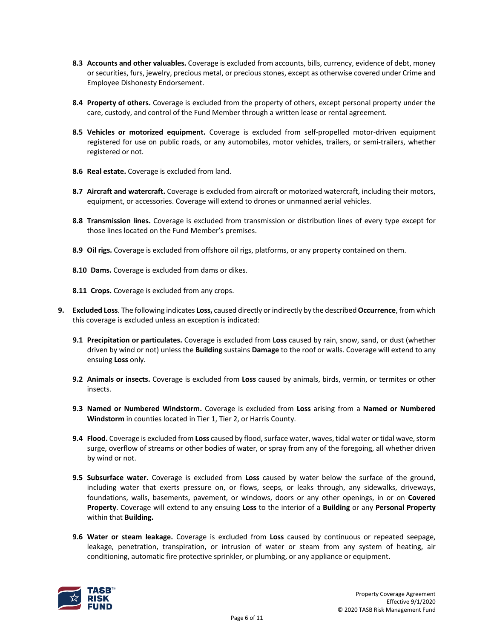- **8.3 Accounts and other valuables.** Coverage is excluded from accounts, bills, currency, evidence of debt, money or securities, furs, jewelry, precious metal, or precious stones, except as otherwise covered under Crime and Employee Dishonesty Endorsement.
- **8.4 Property of others.** Coverage is excluded from the property of others, except personal property under the care, custody, and control of the Fund Member through a written lease or rental agreement.
- **8.5 Vehicles or motorized equipment.** Coverage is excluded from self-propelled motor-driven equipment registered for use on public roads, or any automobiles, motor vehicles, trailers, or semi-trailers, whether registered or not.
- **8.6 Real estate.** Coverage is excluded from land.
- **8.7 Aircraft and watercraft.** Coverage is excluded from aircraft or motorized watercraft, including their motors, equipment, or accessories. Coverage will extend to drones or unmanned aerial vehicles.
- **8.8 Transmission lines.** Coverage is excluded from transmission or distribution lines of every type except for those lines located on the Fund Member's premises.
- **8.9 Oil rigs.** Coverage is excluded from offshore oil rigs, platforms, or any property contained on them.
- **8.10 Dams.** Coverage is excluded from dams or dikes.
- **8.11 Crops.** Coverage is excluded from any crops.
- **9. Excluded Loss**. The following indicates **Loss,** caused directly or indirectly by the described **Occurrence**, from which this coverage is excluded unless an exception is indicated:
	- **9.1 Precipitation or particulates.** Coverage is excluded from **Loss** caused by rain, snow, sand, or dust (whether driven by wind or not) unless the **Building** sustains **Damage** to the roof or walls. Coverage will extend to any ensuing **Loss** only.
	- **9.2 Animals or insects.** Coverage is excluded from **Loss** caused by animals, birds, vermin, or termites or other insects.
	- **9.3 Named or Numbered Windstorm.** Coverage is excluded from **Loss** arising from a **Named or Numbered Windstorm** in counties located in Tier 1, Tier 2, or Harris County.
	- **9.4 Flood.** Coverage is excluded from **Loss** caused by flood, surface water, waves, tidal water or tidal wave, storm surge, overflow of streams or other bodies of water, or spray from any of the foregoing, all whether driven by wind or not.
	- **9.5 Subsurface water.** Coverage is excluded from **Loss** caused by water below the surface of the ground, including water that exerts pressure on, or flows, seeps, or leaks through, any sidewalks, driveways, foundations, walls, basements, pavement, or windows, doors or any other openings, in or on **Covered Property**. Coverage will extend to any ensuing **Loss** to the interior of a **Building** or any **Personal Property** within that **Building.**
	- **9.6 Water or steam leakage.** Coverage is excluded from **Loss** caused by continuous or repeated seepage, leakage, penetration, transpiration, or intrusion of water or steam from any system of heating, air conditioning, automatic fire protective sprinkler, or plumbing, or any appliance or equipment.

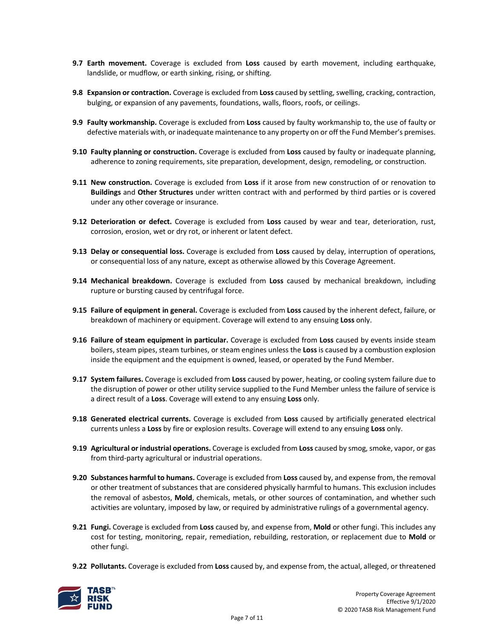- **9.7 Earth movement.** Coverage is excluded from **Loss** caused by earth movement, including earthquake, landslide, or mudflow, or earth sinking, rising, or shifting.
- **9.8 Expansion or contraction.** Coverage is excluded from **Loss** caused by settling, swelling, cracking, contraction, bulging, or expansion of any pavements, foundations, walls, floors, roofs, or ceilings.
- **9.9 Faulty workmanship.** Coverage is excluded from **Loss** caused by faulty workmanship to, the use of faulty or defective materials with, or inadequate maintenance to any property on or off the Fund Member's premises.
- **9.10 Faulty planning or construction.** Coverage is excluded from **Loss** caused by faulty or inadequate planning, adherence to zoning requirements, site preparation, development, design, remodeling, or construction.
- **9.11 New construction.** Coverage is excluded from **Loss** if it arose from new construction of or renovation to **Buildings** and **Other Structures** under written contract with and performed by third parties or is covered under any other coverage or insurance.
- **9.12 Deterioration or defect.** Coverage is excluded from **Loss** caused by wear and tear, deterioration, rust, corrosion, erosion, wet or dry rot, or inherent or latent defect.
- **9.13 Delay or consequential loss.** Coverage is excluded from **Loss** caused by delay, interruption of operations, or consequential loss of any nature, except as otherwise allowed by this Coverage Agreement.
- **9.14 Mechanical breakdown.** Coverage is excluded from **Loss** caused by mechanical breakdown, including rupture or bursting caused by centrifugal force.
- **9.15 Failure of equipment in general.** Coverage is excluded from **Loss** caused by the inherent defect, failure, or breakdown of machinery or equipment. Coverage will extend to any ensuing **Loss** only.
- **9.16 Failure of steam equipment in particular.** Coverage is excluded from **Loss** caused by events inside steam boilers, steam pipes, steam turbines, or steam engines unless the **Loss** is caused by a combustion explosion inside the equipment and the equipment is owned, leased, or operated by the Fund Member.
- **9.17 System failures.** Coverage is excluded from **Loss** caused by power, heating, or cooling system failure due to the disruption of power or other utility service supplied to the Fund Member unless the failure of service is a direct result of a **Loss**. Coverage will extend to any ensuing **Loss** only.
- **9.18 Generated electrical currents.** Coverage is excluded from **Loss** caused by artificially generated electrical currents unless a **Loss** by fire or explosion results. Coverage will extend to any ensuing **Loss** only.
- **9.19 Agricultural or industrial operations.** Coverage is excluded from **Loss** caused by smog, smoke, vapor, or gas from third-party agricultural or industrial operations.
- **9.20 Substances harmful to humans.** Coverage is excluded from **Loss** caused by, and expense from, the removal or other treatment of substances that are considered physically harmful to humans. This exclusion includes the removal of asbestos, **Mold**, chemicals, metals, or other sources of contamination, and whether such activities are voluntary, imposed by law, or required by administrative rulings of a governmental agency.
- **9.21 Fungi.** Coverage is excluded from **Loss** caused by, and expense from, **Mold** or other fungi. This includes any cost for testing, monitoring, repair, remediation, rebuilding, restoration, or replacement due to **Mold** or other fungi.
- **9.22 Pollutants.** Coverage is excluded from **Loss** caused by, and expense from, the actual, alleged, or threatened

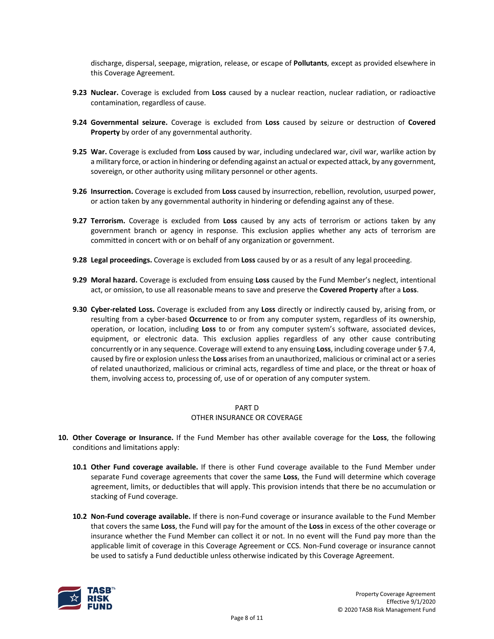discharge, dispersal, seepage, migration, release, or escape of **Pollutants**, except as provided elsewhere in this Coverage Agreement.

- **9.23 Nuclear.** Coverage is excluded from **Loss** caused by a nuclear reaction, nuclear radiation, or radioactive contamination, regardless of cause.
- **9.24 Governmental seizure.** Coverage is excluded from **Loss** caused by seizure or destruction of **Covered Property** by order of any governmental authority.
- **9.25 War.** Coverage is excluded from **Loss** caused by war, including undeclared war, civil war, warlike action by a military force, or action in hindering or defending against an actual or expected attack, by any government, sovereign, or other authority using military personnel or other agents.
- **9.26 Insurrection.** Coverage is excluded from **Loss** caused by insurrection, rebellion, revolution, usurped power, or action taken by any governmental authority in hindering or defending against any of these.
- **9.27 Terrorism.** Coverage is excluded from **Loss** caused by any acts of terrorism or actions taken by any government branch or agency in response. This exclusion applies whether any acts of terrorism are committed in concert with or on behalf of any organization or government.
- **9.28 Legal proceedings.** Coverage is excluded from **Loss** caused by or as a result of any legal proceeding.
- **9.29 Moral hazard.** Coverage is excluded from ensuing **Loss** caused by the Fund Member's neglect, intentional act, or omission, to use all reasonable means to save and preserve the **Covered Property** after a **Loss**.
- **9.30 Cyber-related Loss.** Coverage is excluded from any **Loss** directly or indirectly caused by, arising from, or resulting from a cyber-based **Occurrence** to or from any computer system, regardless of its ownership, operation, or location, including **Loss** to or from any computer system's software, associated devices, equipment, or electronic data. This exclusion applies regardless of any other cause contributing concurrently or in any sequence. Coverage will extend to any ensuing **Loss**, including coverage under § 7.4, caused by fire or explosion unless the **Loss** arises from an unauthorized, malicious or criminal act or a series of related unauthorized, malicious or criminal acts, regardless of time and place, or the threat or hoax of them, involving access to, processing of, use of or operation of any computer system.

#### PART D

#### OTHER INSURANCE OR COVERAGE

- **10. Other Coverage or Insurance.** If the Fund Member has other available coverage for the **Loss**, the following conditions and limitations apply:
	- **10.1 Other Fund coverage available.** If there is other Fund coverage available to the Fund Member under separate Fund coverage agreements that cover the same **Loss**, the Fund will determine which coverage agreement, limits, or deductibles that will apply. This provision intends that there be no accumulation or stacking of Fund coverage.
	- **10.2 Non-Fund coverage available.** If there is non-Fund coverage or insurance available to the Fund Member that covers the same **Loss**, the Fund will pay for the amount of the **Loss** in excess of the other coverage or insurance whether the Fund Member can collect it or not. In no event will the Fund pay more than the applicable limit of coverage in this Coverage Agreement or CCS. Non-Fund coverage or insurance cannot be used to satisfy a Fund deductible unless otherwise indicated by this Coverage Agreement.

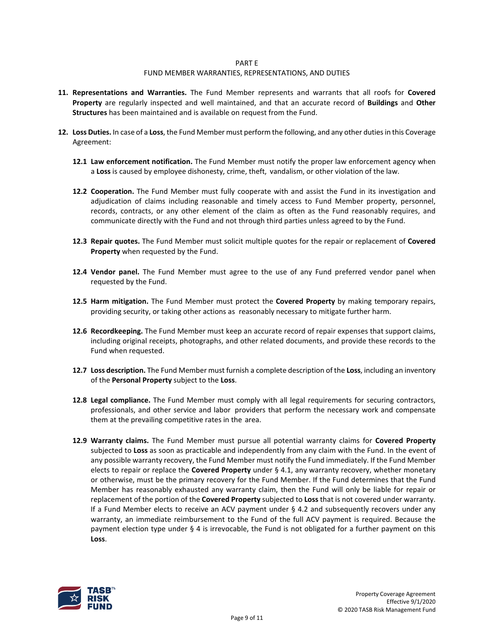#### PART E

#### FUND MEMBER WARRANTIES, REPRESENTATIONS, AND DUTIES

- **11. Representations and Warranties.** The Fund Member represents and warrants that all roofs for **Covered Property** are regularly inspected and well maintained, and that an accurate record of **Buildings** and **Other Structures** has been maintained and is available on request from the Fund.
- **12. Loss Duties.** In case of a **Loss**, the Fund Member must perform the following, and any other duties in this Coverage Agreement:
	- **12.1 Law enforcement notification.** The Fund Member must notify the proper law enforcement agency when a **Loss** is caused by employee dishonesty, crime, theft, vandalism, or other violation of the law.
	- **12.2 Cooperation.** The Fund Member must fully cooperate with and assist the Fund in its investigation and adjudication of claims including reasonable and timely access to Fund Member property, personnel, records, contracts, or any other element of the claim as often as the Fund reasonably requires, and communicate directly with the Fund and not through third parties unless agreed to by the Fund.
	- **12.3 Repair quotes.** The Fund Member must solicit multiple quotes for the repair or replacement of **Covered Property** when requested by the Fund.
	- **12.4 Vendor panel.** The Fund Member must agree to the use of any Fund preferred vendor panel when requested by the Fund.
	- **12.5 Harm mitigation.** The Fund Member must protect the **Covered Property** by making temporary repairs, providing security, or taking other actions as reasonably necessary to mitigate further harm.
	- **12.6 Recordkeeping.** The Fund Member must keep an accurate record of repair expenses that support claims, including original receipts, photographs, and other related documents, and provide these records to the Fund when requested.
	- **12.7 Loss description.** The Fund Member must furnish a complete description of the **Loss**, including an inventory of the **Personal Property** subject to the **Loss**.
	- **12.8 Legal compliance.** The Fund Member must comply with all legal requirements for securing contractors, professionals, and other service and labor providers that perform the necessary work and compensate them at the prevailing competitive rates in the area.
	- **12.9 Warranty claims.** The Fund Member must pursue all potential warranty claims for **Covered Property** subjected to **Loss** as soon as practicable and independently from any claim with the Fund. In the event of any possible warranty recovery, the Fund Member must notify the Fund immediately. If the Fund Member elects to repair or replace the **Covered Property** under § 4.1, any warranty recovery, whether monetary or otherwise, must be the primary recovery for the Fund Member. If the Fund determines that the Fund Member has reasonably exhausted any warranty claim, then the Fund will only be liable for repair or replacement of the portion of the **Covered Property** subjected to **Loss** that is not covered under warranty. If a Fund Member elects to receive an ACV payment under § 4.2 and subsequently recovers under any warranty, an immediate reimbursement to the Fund of the full ACV payment is required. Because the payment election type under § 4 is irrevocable, the Fund is not obligated for a further payment on this **Loss**.

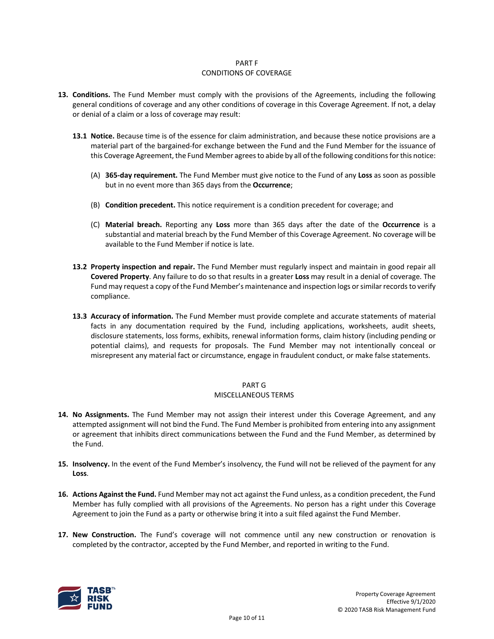#### PART F CONDITIONS OF COVERAGE

- **13. Conditions.** The Fund Member must comply with the provisions of the Agreements, including the following general conditions of coverage and any other conditions of coverage in this Coverage Agreement. If not, a delay or denial of a claim or a loss of coverage may result:
	- **13.1 Notice.** Because time is of the essence for claim administration, and because these notice provisions are a material part of the bargained-for exchange between the Fund and the Fund Member for the issuance of this Coverage Agreement, the Fund Member agrees to abide by all of the following conditions for this notice:
		- (A) **365-day requirement.** The Fund Member must give notice to the Fund of any **Loss** as soon as possible but in no event more than 365 days from the **Occurrence**;
		- (B) **Condition precedent.** This notice requirement is a condition precedent for coverage; and
		- (C) **Material breach.** Reporting any **Loss** more than 365 days after the date of the **Occurrence** is a substantial and material breach by the Fund Member of this Coverage Agreement. No coverage will be available to the Fund Member if notice is late.
	- **13.2 Property inspection and repair.** The Fund Member must regularly inspect and maintain in good repair all **Covered Property**. Any failure to do so that results in a greater **Loss** may result in a denial of coverage. The Fund may request a copy of the Fund Member's maintenance and inspection logs or similar records to verify compliance.
	- **13.3 Accuracy of information.** The Fund Member must provide complete and accurate statements of material facts in any documentation required by the Fund, including applications, worksheets, audit sheets, disclosure statements, loss forms, exhibits, renewal information forms, claim history (including pending or potential claims), and requests for proposals. The Fund Member may not intentionally conceal or misrepresent any material fact or circumstance, engage in fraudulent conduct, or make false statements.

# PART G

# MISCELLANEOUS TERMS

- **14. No Assignments.** The Fund Member may not assign their interest under this Coverage Agreement, and any attempted assignment will not bind the Fund. The Fund Member is prohibited from entering into any assignment or agreement that inhibits direct communications between the Fund and the Fund Member, as determined by the Fund.
- **15. Insolvency.** In the event of the Fund Member's insolvency, the Fund will not be relieved of the payment for any **Loss**.
- **16. Actions Against the Fund.** Fund Member may not act against the Fund unless, as a condition precedent, the Fund Member has fully complied with all provisions of the Agreements. No person has a right under this Coverage Agreement to join the Fund as a party or otherwise bring it into a suit filed against the Fund Member.
- **17. New Construction.** The Fund's coverage will not commence until any new construction or renovation is completed by the contractor, accepted by the Fund Member, and reported in writing to the Fund.

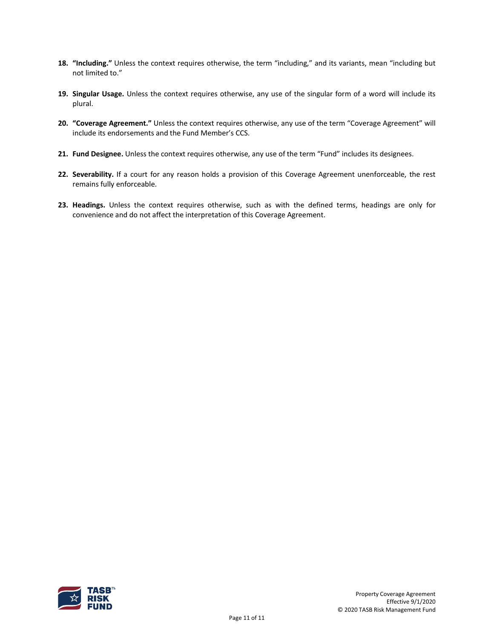- **18. "Including."** Unless the context requires otherwise, the term "including," and its variants, mean "including but not limited to."
- **19. Singular Usage.** Unless the context requires otherwise, any use of the singular form of a word will include its plural.
- **20. "Coverage Agreement."** Unless the context requires otherwise, any use of the term "Coverage Agreement" will include its endorsements and the Fund Member's CCS.
- **21. Fund Designee.** Unless the context requires otherwise, any use of the term "Fund" includes its designees.
- **22. Severability.** If a court for any reason holds a provision of this Coverage Agreement unenforceable, the rest remains fully enforceable.
- **23. Headings.** Unless the context requires otherwise, such as with the defined terms, headings are only for convenience and do not affect the interpretation of this Coverage Agreement.

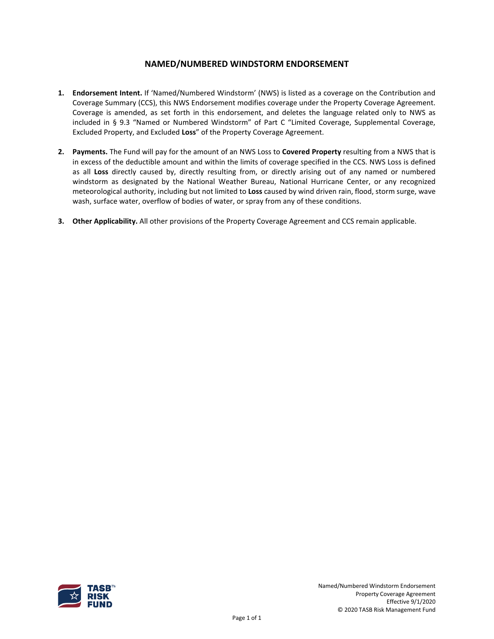# **NAMED/NUMBERED WINDSTORM ENDORSEMENT**

- **1. Endorsement Intent.** If 'Named/Numbered Windstorm' (NWS) is listed as a coverage on the Contribution and Coverage Summary (CCS), this NWS Endorsement modifies coverage under the Property Coverage Agreement. Coverage is amended, as set forth in this endorsement, and deletes the language related only to NWS as included in § 9.3 "Named or Numbered Windstorm" of Part C "Limited Coverage, Supplemental Coverage, Excluded Property, and Excluded **Loss**" of the Property Coverage Agreement.
- **2. Payments.** The Fund will pay for the amount of an NWS Loss to **Covered Property** resulting from a NWS that is in excess of the deductible amount and within the limits of coverage specified in the CCS. NWS Loss is defined as all **Loss** directly caused by, directly resulting from, or directly arising out of any named or numbered windstorm as designated by the National Weather Bureau, National Hurricane Center, or any recognized meteorological authority, including but not limited to **Loss** caused by wind driven rain, flood, storm surge, wave wash, surface water, overflow of bodies of water, or spray from any of these conditions.
- **3. Other Applicability.** All other provisions of the Property Coverage Agreement and CCS remain applicable.

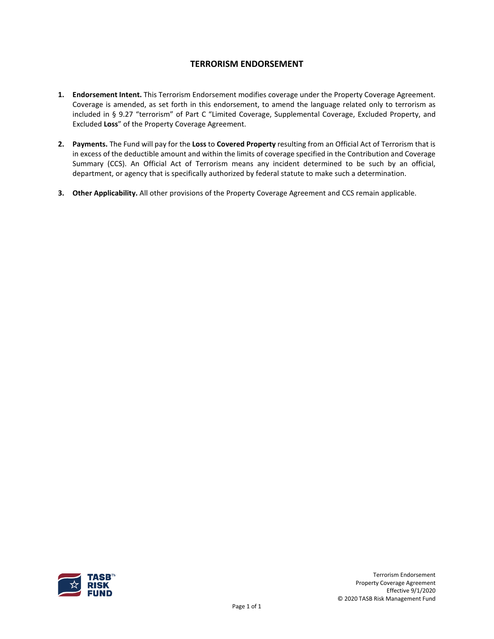# **TERRORISM ENDORSEMENT**

- **1. Endorsement Intent.** This Terrorism Endorsement modifies coverage under the Property Coverage Agreement. Coverage is amended, as set forth in this endorsement, to amend the language related only to terrorism as included in § 9.27 "terrorism" of Part C "Limited Coverage, Supplemental Coverage, Excluded Property, and Excluded **Loss**" of the Property Coverage Agreement.
- **2. Payments.** The Fund will pay for the **Loss** to **Covered Property** resulting from an Official Act of Terrorism that is in excess of the deductible amount and within the limits of coverage specified in the Contribution and Coverage Summary (CCS). An Official Act of Terrorism means any incident determined to be such by an official, department, or agency that is specifically authorized by federal statute to make such a determination.
- **3. Other Applicability.** All other provisions of the Property Coverage Agreement and CCS remain applicable.

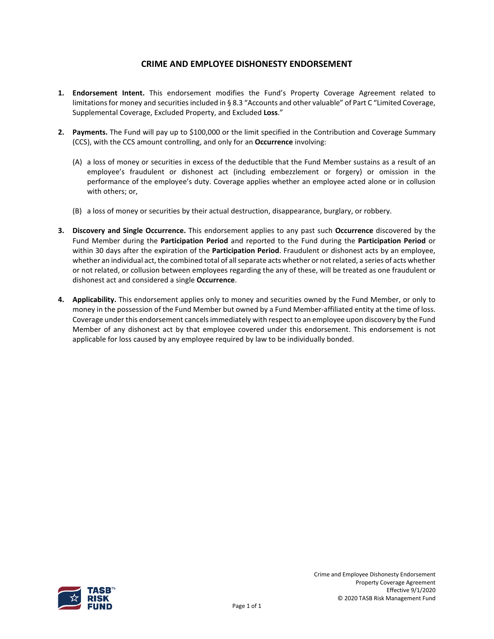# **CRIME AND EMPLOYEE DISHONESTY ENDORSEMENT**

- **1. Endorsement Intent.** This endorsement modifies the Fund's Property Coverage Agreement related to limitations for money and securities included in § 8.3 "Accounts and other valuable" of Part C "Limited Coverage, Supplemental Coverage, Excluded Property, and Excluded **Loss**."
- **2. Payments.** The Fund will pay up to \$100,000 or the limit specified in the Contribution and Coverage Summary (CCS), with the CCS amount controlling, and only for an **Occurrence** involving:
	- (A) a loss of money or securities in excess of the deductible that the Fund Member sustains as a result of an employee's fraudulent or dishonest act (including embezzlement or forgery) or omission in the performance of the employee's duty. Coverage applies whether an employee acted alone or in collusion with others; or,
	- (B) a loss of money or securities by their actual destruction, disappearance, burglary, or robbery.
- **3. Discovery and Single Occurrence.** This endorsement applies to any past such **Occurrence** discovered by the Fund Member during the **Participation Period** and reported to the Fund during the **Participation Period** or within 30 days after the expiration of the **Participation Period**. Fraudulent or dishonest acts by an employee, whether an individual act, the combined total of all separate acts whether or not related, a series of acts whether or not related, or collusion between employees regarding the any of these, will be treated as one fraudulent or dishonest act and considered a single **Occurrence**.
- **4. Applicability.** This endorsement applies only to money and securities owned by the Fund Member, or only to money in the possession of the Fund Member but owned by a Fund Member-affiliated entity at the time of loss. Coverage under this endorsement cancelsimmediately with respect to an employee upon discovery by the Fund Member of any dishonest act by that employee covered under this endorsement. This endorsement is not applicable for loss caused by any employee required by law to be individually bonded.

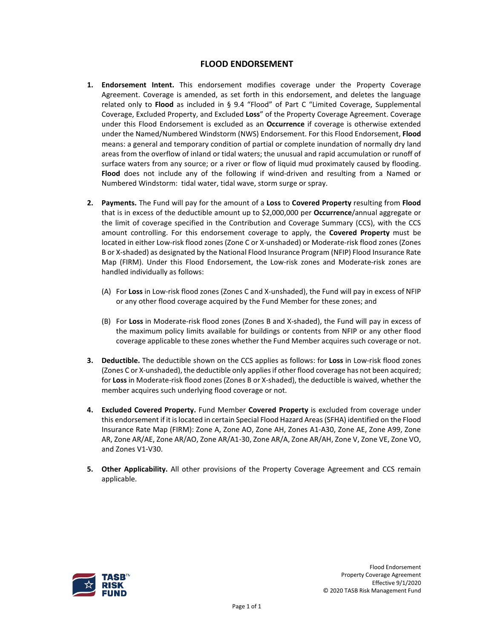# **FLOOD ENDORSEMENT**

- **1. Endorsement Intent.** This endorsement modifies coverage under the Property Coverage Agreement. Coverage is amended, as set forth in this endorsement, and deletes the language related only to **Flood** as included in § 9.4 "Flood" of Part C "Limited Coverage, Supplemental Coverage, Excluded Property, and Excluded **Loss**" of the Property Coverage Agreement. Coverage under this Flood Endorsement is excluded as an **Occurrence** if coverage is otherwise extended under the Named/Numbered Windstorm (NWS) Endorsement. For this Flood Endorsement, **Flood** means: a general and temporary condition of partial or complete inundation of normally dry land areas from the overflow of inland or tidal waters; the unusual and rapid accumulation or runoff of surface waters from any source; or a river or flow of liquid mud proximately caused by flooding. **Flood** does not include any of the following if wind-driven and resulting from a Named or Numbered Windstorm: tidal water, tidal wave, storm surge or spray.
- **2. Payments.** The Fund will pay for the amount of a **Loss** to **Covered Property** resulting from **Flood** that is in excess of the deductible amount up to \$2,000,000 per **Occurrence**/annual aggregate or the limit of coverage specified in the Contribution and Coverage Summary (CCS), with the CCS amount controlling. For this endorsement coverage to apply, the **Covered Property** must be located in either Low-risk flood zones (Zone C or X-unshaded) or Moderate-risk flood zones (Zones B or X-shaded) as designated by the National Flood Insurance Program (NFIP) Flood Insurance Rate Map (FIRM). Under this Flood Endorsement, the Low-risk zones and Moderate-risk zones are handled individually as follows:
	- (A) For **Loss** in Low-risk flood zones (Zones C and X-unshaded), the Fund will pay in excess of NFIP or any other flood coverage acquired by the Fund Member for these zones; and
	- (B) For **Loss** in Moderate-risk flood zones (Zones B and X-shaded), the Fund will pay in excess of the maximum policy limits available for buildings or contents from NFIP or any other flood coverage applicable to these zones whether the Fund Member acquires such coverage or not.
- **3. Deductible.** The deductible shown on the CCS applies as follows: for **Loss** in Low-risk flood zones (Zones C or X-unshaded), the deductible only applies if other flood coverage has not been acquired; for **Loss** in Moderate-risk flood zones (Zones B or X-shaded), the deductible is waived, whether the member acquires such underlying flood coverage or not.
- **4. Excluded Covered Property.** Fund Member **Covered Property** is excluded from coverage under this endorsement if it is located in certain Special Flood Hazard Areas (SFHA) identified on the Flood Insurance Rate Map (FIRM): Zone A, Zone AO, Zone AH, Zones A1-A30, Zone AE, Zone A99, Zone AR, Zone AR/AE, Zone AR/AO, Zone AR/A1-30, Zone AR/A, Zone AR/AH, Zone V, Zone VE, Zone VO, and Zones V1-V30.
- **5. Other Applicability.** All other provisions of the Property Coverage Agreement and CCS remain applicable.

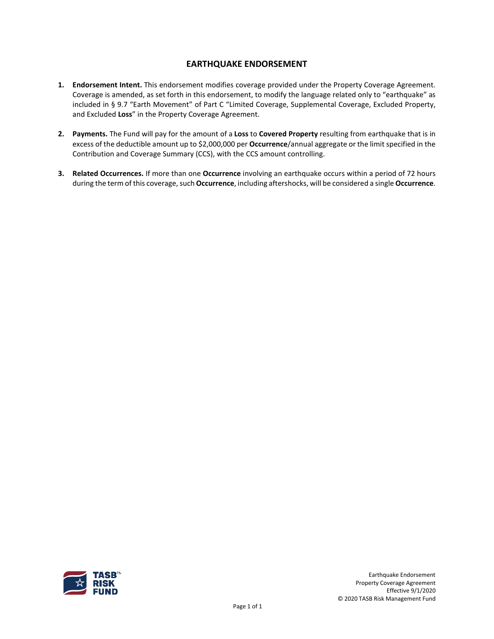# **EARTHQUAKE ENDORSEMENT**

- **1. Endorsement Intent.** This endorsement modifies coverage provided under the Property Coverage Agreement. Coverage is amended, as set forth in this endorsement, to modify the language related only to "earthquake" as included in § 9.7 "Earth Movement" of Part C "Limited Coverage, Supplemental Coverage, Excluded Property, and Excluded **Loss**" in the Property Coverage Agreement.
- **2. Payments.** The Fund will pay for the amount of a **Loss** to **Covered Property** resulting from earthquake that is in excess of the deductible amount up to \$2,000,000 per **Occurrence**/annual aggregate or the limit specified in the Contribution and Coverage Summary (CCS), with the CCS amount controlling.
- **3. Related Occurrences.** If more than one **Occurrence** involving an earthquake occurs within a period of 72 hours during the term of this coverage, such **Occurrence**, including aftershocks, will be considered a single **Occurrence**.

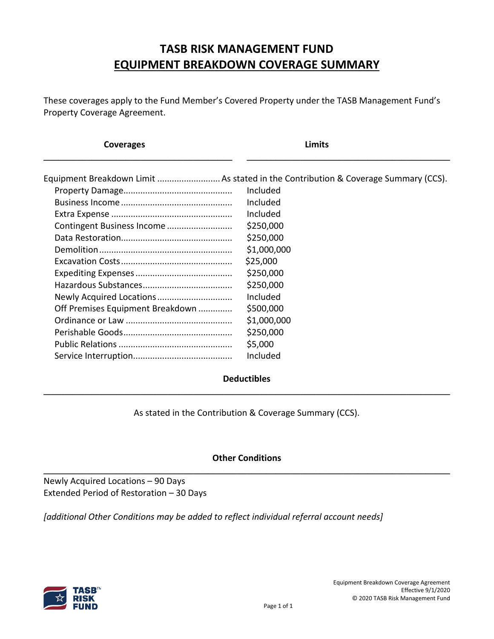# **TASB RISK MANAGEMENT FUND EQUIPMENT BREAKDOWN COVERAGE SUMMARY**

These coverages apply to the Fund Member's Covered Property under the TASB Management Fund's Property Coverage Agreement.

| Coverages                        | Limits                                                                                        |
|----------------------------------|-----------------------------------------------------------------------------------------------|
|                                  | Equipment Breakdown Limit As stated in the Contribution & Coverage Summary (CCS).<br>Included |
|                                  | Included                                                                                      |
|                                  | Included                                                                                      |
|                                  | \$250,000                                                                                     |
| Contingent Business Income       | \$250,000                                                                                     |
|                                  | \$1,000,000                                                                                   |
|                                  | \$25,000                                                                                      |
|                                  | \$250,000                                                                                     |
|                                  | \$250,000                                                                                     |
|                                  | Included                                                                                      |
| Off Premises Equipment Breakdown | \$500,000                                                                                     |
|                                  | \$1,000,000                                                                                   |
|                                  | \$250,000                                                                                     |
|                                  | \$5,000                                                                                       |
|                                  | Included                                                                                      |
|                                  |                                                                                               |

# **Deductibles \_\_\_\_\_\_\_\_\_\_\_\_\_\_\_\_\_\_\_\_\_\_\_\_\_\_\_\_\_\_\_\_\_\_\_\_\_\_\_\_\_\_\_\_\_\_\_\_\_\_\_\_\_\_\_\_\_\_\_\_\_\_\_\_\_\_\_\_\_\_\_\_\_\_\_\_\_\_\_\_\_\_\_\_**

As stated in the Contribution & Coverage Summary (CCS).

# **Other Conditions \_\_\_\_\_\_\_\_\_\_\_\_\_\_\_\_\_\_\_\_\_\_\_\_\_\_\_\_\_\_\_\_\_\_\_\_\_\_\_\_\_\_\_\_\_\_\_\_\_\_\_\_\_\_\_\_\_\_\_\_\_\_\_\_\_\_\_\_\_\_\_\_\_\_\_\_\_\_\_\_\_\_\_\_**

Newly Acquired Locations – 90 Days Extended Period of Restoration – 30 Days

*[additional Other Conditions may be added to reflect individual referral account needs]*

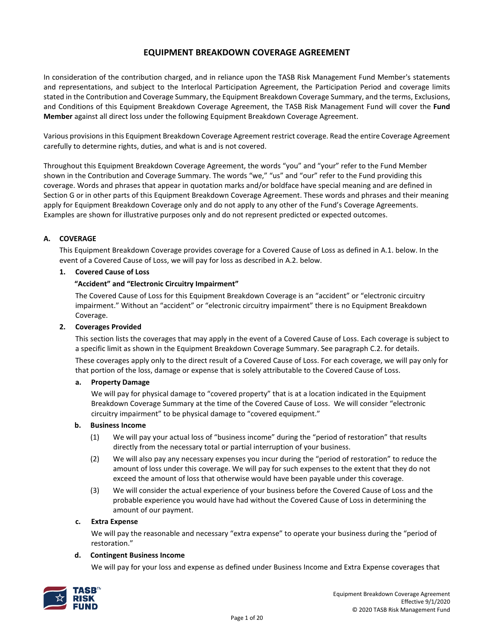# **EQUIPMENT BREAKDOWN COVERAGE AGREEMENT**

In consideration of the contribution charged, and in reliance upon the TASB Risk Management Fund Member's statements and representations, and subject to the Interlocal Participation Agreement, the Participation Period and coverage limits stated in the Contribution and Coverage Summary, the Equipment Breakdown Coverage Summary, and the terms, Exclusions, and Conditions of this Equipment Breakdown Coverage Agreement, the TASB Risk Management Fund will cover the **Fund Member** against all direct loss under the following Equipment Breakdown Coverage Agreement.

Various provisions in this Equipment Breakdown Coverage Agreement restrict coverage. Read the entire Coverage Agreement carefully to determine rights, duties, and what is and is not covered.

Throughout this Equipment Breakdown Coverage Agreement, the words "you" and "your" refer to the Fund Member shown in the Contribution and Coverage Summary. The words "we," "us" and "our" refer to the Fund providing this coverage. Words and phrases that appear in quotation marks and/or boldface have special meaning and are defined in Section G or in other parts of this Equipment Breakdown Coverage Agreement. These words and phrases and their meaning apply for Equipment Breakdown Coverage only and do not apply to any other of the Fund's Coverage Agreements. Examples are shown for illustrative purposes only and do not represent predicted or expected outcomes.

#### **A. COVERAGE**

This Equipment Breakdown Coverage provides coverage for a Covered Cause of Loss as defined in A.1. below. In the event of a Covered Cause of Loss, we will pay for loss as described in A.2. below.

#### **1. Covered Cause of Loss**

#### **"Accident" and "Electronic Circuitry Impairment"**

The Covered Cause of Loss for this Equipment Breakdown Coverage is an "accident" or "electronic circuitry impairment." Without an "accident" or "electronic circuitry impairment" there is no Equipment Breakdown Coverage.

#### **2. Coverages Provided**

This section lists the coverages that may apply in the event of a Covered Cause of Loss. Each coverage is subject to a specific limit as shown in the Equipment Breakdown Coverage Summary. See paragraph C.2. for details. These coverages apply only to the direct result of a Covered Cause of Loss. For each coverage, we will pay only for that portion of the loss, damage or expense that is solely attributable to the Covered Cause of Loss.

#### **a. Property Damage**

We will pay for physical damage to "covered property" that is at a location indicated in the Equipment Breakdown Coverage Summary at the time of the Covered Cause of Loss. We will consider "electronic circuitry impairment" to be physical damage to "covered equipment."

#### **b. Business Income**

- (1) We will pay your actual loss of "business income" during the "period of restoration" that results directly from the necessary total or partial interruption of your business.
- (2) We will also pay any necessary expenses you incur during the "period of restoration" to reduce the amount of loss under this coverage. We will pay for such expenses to the extent that they do not exceed the amount of loss that otherwise would have been payable under this coverage.
- (3) We will consider the actual experience of your business before the Covered Cause of Loss and the probable experience you would have had without the Covered Cause of Loss in determining the amount of our payment.

#### **c. Extra Expense**

We will pay the reasonable and necessary "extra expense" to operate your business during the "period of restoration."

#### **d. Contingent Business Income**

We will pay for your loss and expense as defined under Business Income and Extra Expense coverages that

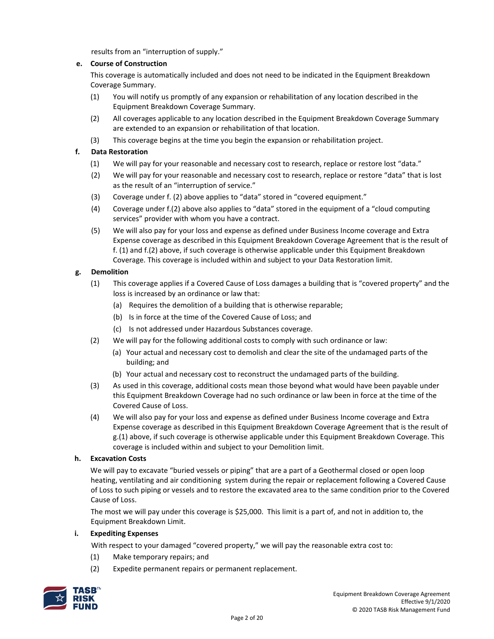results from an "interruption of supply."

# **e. Course of Construction**

This coverage is automatically included and does not need to be indicated in the Equipment Breakdown Coverage Summary.

- (1) You will notify us promptly of any expansion or rehabilitation of any location described in the Equipment Breakdown Coverage Summary.
- (2) All coverages applicable to any location described in the Equipment Breakdown Coverage Summary are extended to an expansion or rehabilitation of that location.
- (3) This coverage begins at the time you begin the expansion or rehabilitation project.

# **f. Data Restoration**

- (1) We will pay for your reasonable and necessary cost to research, replace or restore lost "data."
- (2) We will pay for your reasonable and necessary cost to research, replace or restore "data" that is lost as the result of an "interruption of service."
- (3) Coverage under f. (2) above applies to "data" stored in "covered equipment."
- (4) Coverage under f.(2) above also applies to "data" stored in the equipment of a "cloud computing services" provider with whom you have a contract.
- (5) We will also pay for your loss and expense as defined under Business Income coverage and Extra Expense coverage as described in this Equipment Breakdown Coverage Agreement that is the result of f. (1) and f.(2) above, if such coverage is otherwise applicable under this Equipment Breakdown Coverage. This coverage is included within and subject to your Data Restoration limit.

# **g. Demolition**

- (1) This coverage applies if a Covered Cause of Loss damages a building that is "covered property" and the loss is increased by an ordinance or law that:
	- (a) Requires the demolition of a building that is otherwise reparable;
	- (b) Is in force at the time of the Covered Cause of Loss; and
	- (c) Is not addressed under Hazardous Substances coverage.
- (2) We will pay for the following additional costs to comply with such ordinance or law:
	- (a) Your actual and necessary cost to demolish and clear the site of the undamaged parts of the building; and
	- (b) Your actual and necessary cost to reconstruct the undamaged parts of the building.
- (3) As used in this coverage, additional costs mean those beyond what would have been payable under this Equipment Breakdown Coverage had no such ordinance or law been in force at the time of the Covered Cause of Loss.
- (4) We will also pay for your loss and expense as defined under Business Income coverage and Extra Expense coverage as described in this Equipment Breakdown Coverage Agreement that is the result of g.(1) above, if such coverage is otherwise applicable under this Equipment Breakdown Coverage. This coverage is included within and subject to your Demolition limit.

#### **h. Excavation Costs**

We will pay to excavate "buried vessels or piping" that are a part of a Geothermal closed or open loop heating, ventilating and air conditioning system during the repair or replacement following a Covered Cause of Loss to such piping or vessels and to restore the excavated area to the same condition prior to the Covered Cause of Loss.

The most we will pay under this coverage is \$25,000. This limit is a part of, and not in addition to, the Equipment Breakdown Limit.

#### **i. Expediting Expenses**

With respect to your damaged "covered property," we will pay the reasonable extra cost to:

- (1) Make temporary repairs; and
- (2) Expedite permanent repairs or permanent replacement.

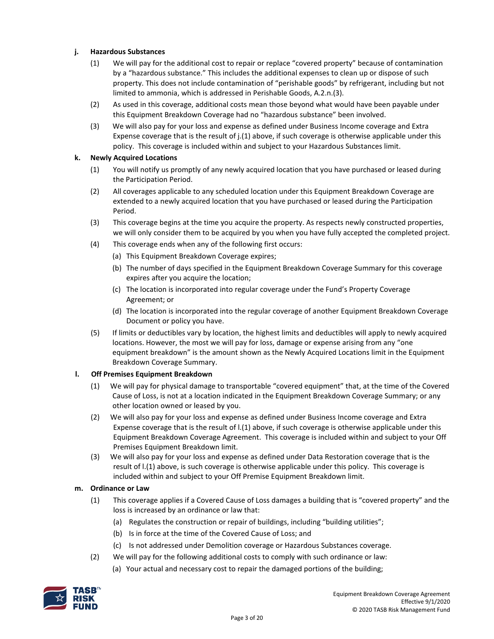# **j. Hazardous Substances**

- (1) We will pay for the additional cost to repair or replace "covered property" because of contamination by a "hazardous substance." This includes the additional expenses to clean up or dispose of such property. This does not include contamination of "perishable goods" by refrigerant, including but not limited to ammonia, which is addressed in Perishable Goods, A.2.n.(3).
- (2) As used in this coverage, additional costs mean those beyond what would have been payable under this Equipment Breakdown Coverage had no "hazardous substance" been involved.
- (3) We will also pay for your loss and expense as defined under Business Income coverage and Extra Expense coverage that is the result of j.(1) above, if such coverage is otherwise applicable under this policy. This coverage is included within and subject to your Hazardous Substances limit.

#### **k. Newly Acquired Locations**

- (1) You will notify us promptly of any newly acquired location that you have purchased or leased during the Participation Period.
- (2) All coverages applicable to any scheduled location under this Equipment Breakdown Coverage are extended to a newly acquired location that you have purchased or leased during the Participation Period.
- (3) This coverage begins at the time you acquire the property. As respects newly constructed properties, we will only consider them to be acquired by you when you have fully accepted the completed project.
- (4) This coverage ends when any of the following first occurs:
	- (a) This Equipment Breakdown Coverage expires;
	- (b) The number of days specified in the Equipment Breakdown Coverage Summary for this coverage expires after you acquire the location;
	- (c) The location is incorporated into regular coverage under the Fund's Property Coverage Agreement; or
	- (d) The location is incorporated into the regular coverage of another Equipment Breakdown Coverage Document or policy you have.
- (5) If limits or deductibles vary by location, the highest limits and deductibles will apply to newly acquired locations. However, the most we will pay for loss, damage or expense arising from any "one equipment breakdown" is the amount shown as the Newly Acquired Locations limit in the Equipment Breakdown Coverage Summary.

#### **l. Off Premises Equipment Breakdown**

- (1) We will pay for physical damage to transportable "covered equipment" that, at the time of the Covered Cause of Loss, is not at a location indicated in the Equipment Breakdown Coverage Summary; or any other location owned or leased by you.
- (2) We will also pay for your loss and expense as defined under Business Income coverage and Extra Expense coverage that is the result of l.(1) above, if such coverage is otherwise applicable under this Equipment Breakdown Coverage Agreement. This coverage is included within and subject to your Off Premises Equipment Breakdown limit.
- (3) We will also pay for your loss and expense as defined under Data Restoration coverage that is the result of l.(1) above, is such coverage is otherwise applicable under this policy. This coverage is included within and subject to your Off Premise Equipment Breakdown limit.

#### **m. Ordinance or Law**

- (1) This coverage applies if a Covered Cause of Loss damages a building that is "covered property" and the loss is increased by an ordinance or law that:
	- (a) Regulates the construction or repair of buildings, including "building utilities";
	- (b) Is in force at the time of the Covered Cause of Loss; and
	- (c) Is not addressed under Demolition coverage or Hazardous Substances coverage.
- (2) We will pay for the following additional costs to comply with such ordinance or law:
	- (a) Your actual and necessary cost to repair the damaged portions of the building;

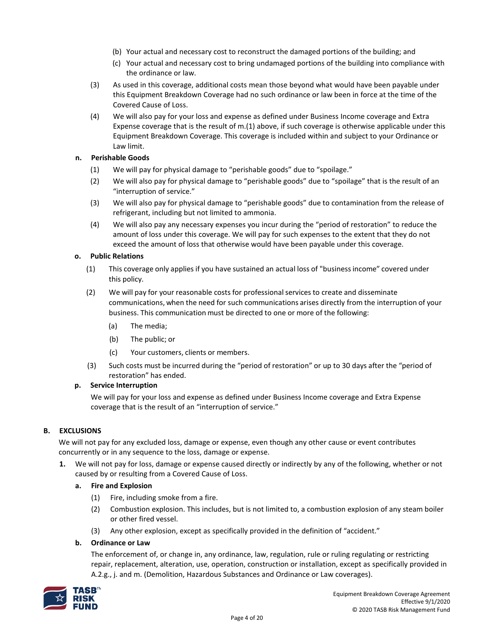- (b) Your actual and necessary cost to reconstruct the damaged portions of the building; and
- (c) Your actual and necessary cost to bring undamaged portions of the building into compliance with the ordinance or law.
- (3) As used in this coverage, additional costs mean those beyond what would have been payable under this Equipment Breakdown Coverage had no such ordinance or law been in force at the time of the Covered Cause of Loss.
- (4) We will also pay for your loss and expense as defined under Business Income coverage and Extra Expense coverage that is the result of m.(1) above, if such coverage is otherwise applicable under this Equipment Breakdown Coverage. This coverage is included within and subject to your Ordinance or Law limit.

# **n. Perishable Goods**

- (1) We will pay for physical damage to "perishable goods" due to "spoilage."
- (2) We will also pay for physical damage to "perishable goods" due to "spoilage" that is the result of an "interruption of service."
- (3) We will also pay for physical damage to "perishable goods" due to contamination from the release of refrigerant, including but not limited to ammonia.
- (4) We will also pay any necessary expenses you incur during the "period of restoration" to reduce the amount of loss under this coverage. We will pay for such expenses to the extent that they do not exceed the amount of loss that otherwise would have been payable under this coverage.

#### **o. Public Relations**

- (1) This coverage only applies if you have sustained an actual loss of "businessincome" covered under this policy.
- (2) We will pay for your reasonable costs for professionalservices to create and disseminate communications, when the need for such communications arises directly from the interruption of your business. This communication must be directed to one or more of the following:
	- (a) The media;
	- (b) The public; or
	- (c) Your customers, clients or members.
- (3) Such costs must be incurred during the "period of restoration" or up to 30 days after the "period of restoration" has ended.

#### **p. Service Interruption**

We will pay for your loss and expense as defined under Business Income coverage and Extra Expense coverage that is the result of an "interruption of service."

# **B. EXCLUSIONS**

We will not pay for any excluded loss, damage or expense, even though any other cause or event contributes concurrently or in any sequence to the loss, damage or expense.

**1.** We will not pay for loss, damage or expense caused directly or indirectly by any of the following, whether or not caused by or resulting from a Covered Cause of Loss.

#### **a. Fire and Explosion**

- (1) Fire, including smoke from a fire.
- (2) Combustion explosion. This includes, but is not limited to, a combustion explosion of any steam boiler or other fired vessel.
- (3) Any other explosion, except as specifically provided in the definition of "accident."

#### **b. Ordinance or Law**

The enforcement of, or change in, any ordinance, law, regulation, rule or ruling regulating or restricting repair, replacement, alteration, use, operation, construction or installation, except as specifically provided in A.2.g., j. and m. (Demolition, Hazardous Substances and Ordinance or Law coverages).

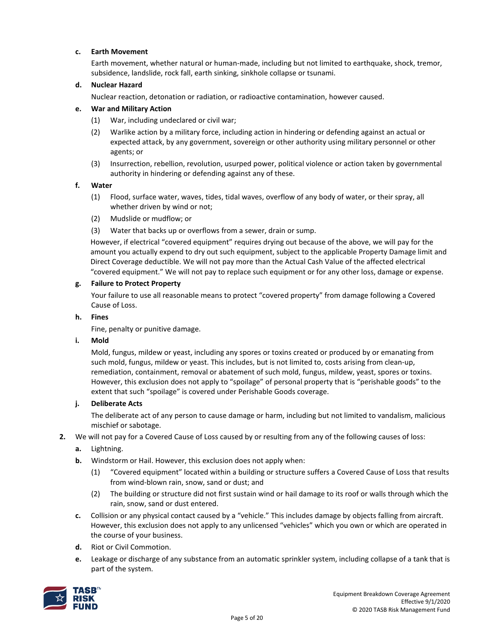# **c. Earth Movement**

Earth movement, whether natural or human-made, including but not limited to earthquake, shock, tremor, subsidence, landslide, rock fall, earth sinking, sinkhole collapse or tsunami.

# **d. Nuclear Hazard**

Nuclear reaction, detonation or radiation, or radioactive contamination, however caused.

#### **e. War and Military Action**

- (1) War, including undeclared or civil war;
- (2) Warlike action by a military force, including action in hindering or defending against an actual or expected attack, by any government, sovereign or other authority using military personnel or other agents; or
- (3) Insurrection, rebellion, revolution, usurped power, political violence or action taken by governmental authority in hindering or defending against any of these.

#### **f. Water**

- (1) Flood, surface water, waves, tides, tidal waves, overflow of any body of water, or their spray, all whether driven by wind or not;
- (2) Mudslide or mudflow; or
- (3) Water that backs up or overflows from a sewer, drain or sump.

However, if electrical "covered equipment" requires drying out because of the above, we will pay for the amount you actually expend to dry out such equipment, subject to the applicable Property Damage limit and Direct Coverage deductible. We will not pay more than the Actual Cash Value of the affected electrical "covered equipment." We will not pay to replace such equipment or for any other loss, damage or expense.

# **g. Failure to Protect Property**

Your failure to use all reasonable means to protect "covered property" from damage following a Covered Cause of Loss.

#### **h. Fines**

Fine, penalty or punitive damage.

#### **i. Mold**

Mold, fungus, mildew or yeast, including any spores or toxins created or produced by or emanating from such mold, fungus, mildew or yeast. This includes, but is not limited to, costs arising from clean-up, remediation, containment, removal or abatement of such mold, fungus, mildew, yeast, spores or toxins. However, this exclusion does not apply to "spoilage" of personal property that is "perishable goods" to the extent that such "spoilage" is covered under Perishable Goods coverage.

#### **j. Deliberate Acts**

The deliberate act of any person to cause damage or harm, including but not limited to vandalism, malicious mischief or sabotage.

#### **2.** We will not pay for a Covered Cause of Loss caused by or resulting from any of the following causes of loss:

# **a.** Lightning.

- **b.** Windstorm or Hail. However, this exclusion does not apply when:
	- (1) "Covered equipment" located within a building or structure suffers a Covered Cause of Loss that results from wind-blown rain, snow, sand or dust; and
	- (2) The building or structure did not first sustain wind or hail damage to its roof or walls through which the rain, snow, sand or dust entered.
- **c.** Collision or any physical contact caused by a "vehicle." This includes damage by objects falling from aircraft. However, this exclusion does not apply to any unlicensed "vehicles" which you own or which are operated in the course of your business.
- **d.** Riot or Civil Commotion.
- **e.** Leakage or discharge of any substance from an automatic sprinkler system, including collapse of a tank that is part of the system.

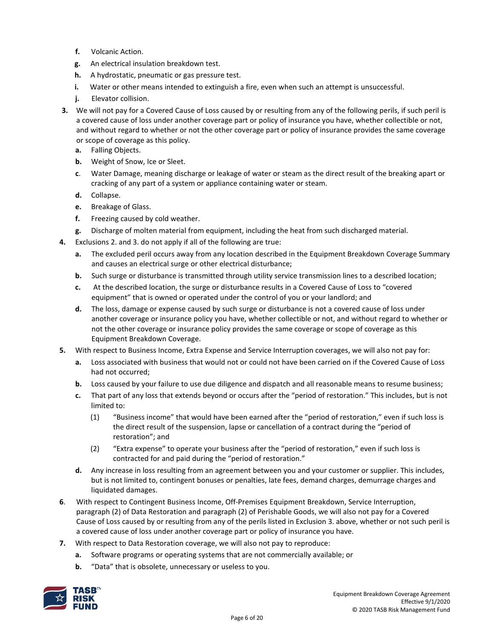- **f.** Volcanic Action.
- **g.** An electrical insulation breakdown test.
- **h.** A hydrostatic, pneumatic or gas pressure test.
- **i.** Water or other means intended to extinguish a fire, even when such an attempt is unsuccessful.
- **j.** Elevator collision.
- **3.** We will not pay for a Covered Cause of Loss caused by or resulting from any of the following perils, if such peril is a covered cause of loss under another coverage part or policy of insurance you have, whether collectible or not, and without regard to whether or not the other coverage part or policy of insurance provides the same coverage or scope of coverage as this policy.
	- **a.** Falling Objects.
	- **b.** Weight of Snow, Ice or Sleet.
	- **c**. Water Damage, meaning discharge or leakage of water or steam as the direct result of the breaking apart or cracking of any part of a system or appliance containing water or steam.
	- **d.** Collapse.
	- **e.** Breakage of Glass.
	- **f.** Freezing caused by cold weather.
	- **g.** Discharge of molten material from equipment, including the heat from such discharged material.
- **4.** Exclusions 2. and 3. do not apply if all of the following are true:
	- **a.** The excluded peril occurs away from any location described in the Equipment Breakdown Coverage Summary and causes an electrical surge or other electrical disturbance;
	- **b.** Such surge or disturbance is transmitted through utility service transmission lines to a described location;
	- **c.** At the described location, the surge or disturbance results in a Covered Cause of Loss to "covered equipment" that is owned or operated under the control of you or your landlord; and
	- **d.** The loss, damage or expense caused by such surge or disturbance is not a covered cause of loss under another coverage or insurance policy you have, whether collectible or not, and without regard to whether or not the other coverage or insurance policy provides the same coverage or scope of coverage as this Equipment Breakdown Coverage.
- **5.** With respect to Business Income, Extra Expense and Service Interruption coverages, we will also not pay for:
	- **a.** Loss associated with business that would not or could not have been carried on if the Covered Cause of Loss had not occurred;
	- **b.** Loss caused by your failure to use due diligence and dispatch and all reasonable means to resume business;
	- **c.** That part of any loss that extends beyond or occurs after the "period of restoration." This includes, but is not limited to:
		- (1) "Business income" that would have been earned after the "period of restoration," even if such loss is the direct result of the suspension, lapse or cancellation of a contract during the "period of restoration"; and
		- (2) "Extra expense" to operate your business after the "period of restoration," even if such loss is contracted for and paid during the "period of restoration."
	- **d.** Any increase in loss resulting from an agreement between you and your customer or supplier. This includes, but is not limited to, contingent bonuses or penalties, late fees, demand charges, demurrage charges and liquidated damages.
- **6**. With respect to Contingent Business Income, Off-Premises Equipment Breakdown, Service Interruption, paragraph (2) of Data Restoration and paragraph (2) of Perishable Goods, we will also not pay for a Covered Cause of Loss caused by or resulting from any of the perils listed in Exclusion 3. above, whether or not such peril is a covered cause of loss under another coverage part or policy of insurance you have.
- **7.** With respect to Data Restoration coverage, we will also not pay to reproduce:
	- **a.** Software programs or operating systems that are not commercially available; or
	- **b.** "Data" that is obsolete, unnecessary or useless to you.

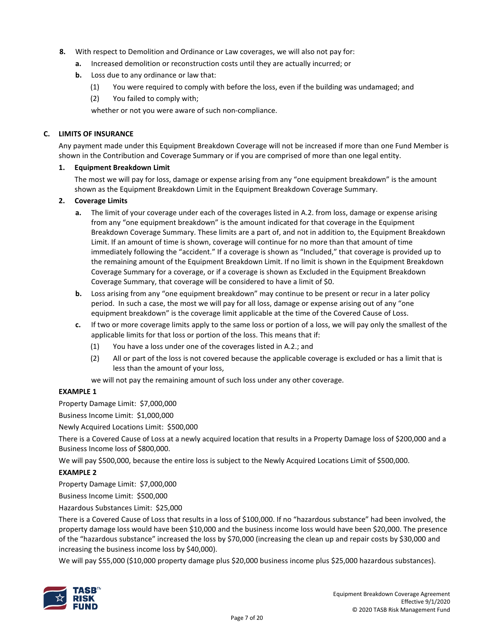- **8.** With respect to Demolition and Ordinance or Law coverages, we will also not pay for:
	- **a.** Increased demolition or reconstruction costs until they are actually incurred; or
	- **b.** Loss due to any ordinance or law that:
		- (1) You were required to comply with before the loss, even if the building was undamaged; and
		- (2) You failed to comply with;

whether or not you were aware of such non-compliance.

#### **C. LIMITS OF INSURANCE**

Any payment made under this Equipment Breakdown Coverage will not be increased if more than one Fund Member is shown in the Contribution and Coverage Summary or if you are comprised of more than one legal entity.

#### **1. Equipment Breakdown Limit**

The most we will pay for loss, damage or expense arising from any "one equipment breakdown" is the amount shown as the Equipment Breakdown Limit in the Equipment Breakdown Coverage Summary.

#### **2. Coverage Limits**

- **a.** The limit of your coverage under each of the coverages listed in A.2. from loss, damage or expense arising from any "one equipment breakdown" is the amount indicated for that coverage in the Equipment Breakdown Coverage Summary. These limits are a part of, and not in addition to, the Equipment Breakdown Limit. If an amount of time is shown, coverage will continue for no more than that amount of time immediately following the "accident." If a coverage is shown as "Included," that coverage is provided up to the remaining amount of the Equipment Breakdown Limit. If no limit is shown in the Equipment Breakdown Coverage Summary for a coverage, or if a coverage is shown as Excluded in the Equipment Breakdown Coverage Summary, that coverage will be considered to have a limit of \$0.
- **b.** Loss arising from any "one equipment breakdown" may continue to be present or recur in a later policy period. In such a case, the most we will pay for all loss, damage or expense arising out of any "one equipment breakdown" is the coverage limit applicable at the time of the Covered Cause of Loss.
- **c.** If two or more coverage limits apply to the same loss or portion of a loss, we will pay only the smallest of the applicable limits for that loss or portion of the loss. This means that if:
	- (1) You have a loss under one of the coverages listed in A.2.; and
	- (2) All or part of the loss is not covered because the applicable coverage is excluded or has a limit that is less than the amount of your loss,
	- we will not pay the remaining amount of such loss under any other coverage.

#### **EXAMPLE 1**

Property Damage Limit: \$7,000,000

Business Income Limit: \$1,000,000

Newly Acquired Locations Limit: \$500,000

There is a Covered Cause of Loss at a newly acquired location that results in a Property Damage loss of \$200,000 and a Business Income loss of \$800,000.

We will pay \$500,000, because the entire loss is subject to the Newly Acquired Locations Limit of \$500,000.

#### **EXAMPLE 2**

Property Damage Limit: \$7,000,000

Business Income Limit: \$500,000

Hazardous Substances Limit: \$25,000

There is a Covered Cause of Loss that results in a loss of \$100,000. If no "hazardous substance" had been involved, the property damage loss would have been \$10,000 and the business income loss would have been \$20,000. The presence of the "hazardous substance" increased the loss by \$70,000 (increasing the clean up and repair costs by \$30,000 and increasing the business income loss by \$40,000).

We will pay \$55,000 (\$10,000 property damage plus \$20,000 business income plus \$25,000 hazardous substances).

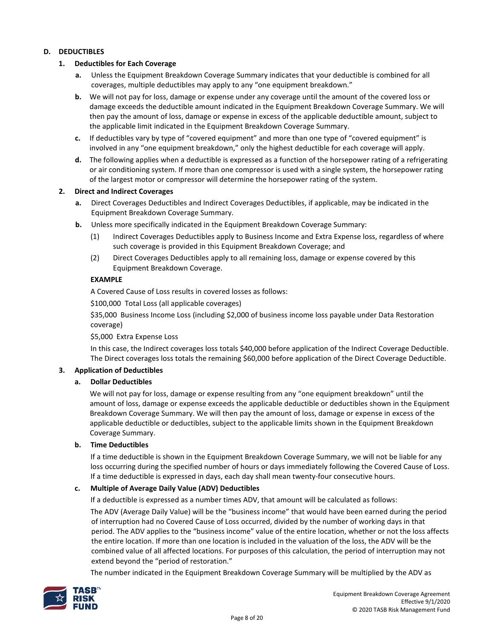#### **D. DEDUCTIBLES**

#### **1. Deductibles for Each Coverage**

- **a.** Unless the Equipment Breakdown Coverage Summary indicates that your deductible is combined for all coverages, multiple deductibles may apply to any "one equipment breakdown."
- **b.** We will not pay for loss, damage or expense under any coverage until the amount of the covered loss or damage exceeds the deductible amount indicated in the Equipment Breakdown Coverage Summary. We will then pay the amount of loss, damage or expense in excess of the applicable deductible amount, subject to the applicable limit indicated in the Equipment Breakdown Coverage Summary.
- **c.** If deductibles vary by type of "covered equipment" and more than one type of "covered equipment" is involved in any "one equipment breakdown," only the highest deductible for each coverage will apply.
- **d.** The following applies when a deductible is expressed as a function of the horsepower rating of a refrigerating or air conditioning system. If more than one compressor is used with a single system, the horsepower rating of the largest motor or compressor will determine the horsepower rating of the system.

#### **2. Direct and Indirect Coverages**

- **a.** Direct Coverages Deductibles and Indirect Coverages Deductibles, if applicable, may be indicated in the Equipment Breakdown Coverage Summary.
- **b.** Unless more specifically indicated in the Equipment Breakdown Coverage Summary:
	- (1) Indirect Coverages Deductibles apply to Business Income and Extra Expense loss, regardless of where such coverage is provided in this Equipment Breakdown Coverage; and
	- (2) Direct Coverages Deductibles apply to all remaining loss, damage or expense covered by this Equipment Breakdown Coverage.

#### **EXAMPLE**

A Covered Cause of Loss results in covered losses as follows:

\$100,000 Total Loss (all applicable coverages)

\$35,000 Business Income Loss (including \$2,000 of business income loss payable under Data Restoration coverage)

\$5,000 Extra Expense Loss

In this case, the Indirect coverages loss totals \$40,000 before application of the Indirect Coverage Deductible. The Direct coverages loss totals the remaining \$60,000 before application of the Direct Coverage Deductible.

#### **3. Application of Deductibles**

#### **a. Dollar Deductibles**

We will not pay for loss, damage or expense resulting from any "one equipment breakdown" until the amount of loss, damage or expense exceeds the applicable deductible or deductibles shown in the Equipment Breakdown Coverage Summary. We will then pay the amount of loss, damage or expense in excess of the applicable deductible or deductibles, subject to the applicable limits shown in the Equipment Breakdown Coverage Summary.

#### **b. Time Deductibles**

If a time deductible is shown in the Equipment Breakdown Coverage Summary, we will not be liable for any loss occurring during the specified number of hours or days immediately following the Covered Cause of Loss. If a time deductible is expressed in days, each day shall mean twenty-four consecutive hours.

#### **c. Multiple of Average Daily Value (ADV) Deductibles**

If a deductible is expressed as a number times ADV, that amount will be calculated as follows:

The ADV (Average Daily Value) will be the "business income" that would have been earned during the period of interruption had no Covered Cause of Loss occurred, divided by the number of working days in that period. The ADV applies to the "business income" value of the entire location, whether or not the loss affects the entire location. If more than one location is included in the valuation of the loss, the ADV will be the combined value of all affected locations. For purposes of this calculation, the period of interruption may not extend beyond the "period of restoration."

The number indicated in the Equipment Breakdown Coverage Summary will be multiplied by the ADV as

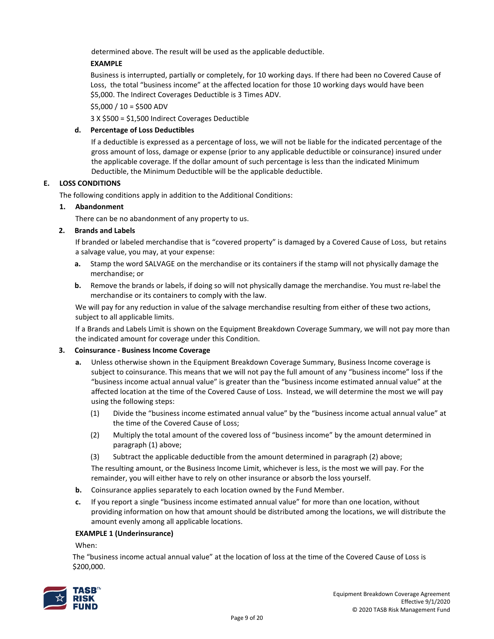determined above. The result will be used as the applicable deductible.

# **EXAMPLE**

Business is interrupted, partially or completely, for 10 working days. If there had been no Covered Cause of Loss, the total "business income" at the affected location for those 10 working days would have been \$5,000. The Indirect Coverages Deductible is 3 Times ADV.

 $$5,000 / 10 = $500$  ADV

3 X \$500 = \$1,500 Indirect Coverages Deductible

# **d. Percentage of Loss Deductibles**

If a deductible is expressed as a percentage of loss, we will not be liable for the indicated percentage of the gross amount of loss, damage or expense (prior to any applicable deductible or coinsurance) insured under the applicable coverage. If the dollar amount of such percentage is less than the indicated Minimum Deductible, the Minimum Deductible will be the applicable deductible.

# **E. LOSS CONDITIONS**

The following conditions apply in addition to the Additional Conditions:

# **1. Abandonment**

There can be no abandonment of any property to us.

# **2. Brands and Labels**

If branded or labeled merchandise that is "covered property" is damaged by a Covered Cause of Loss, but retains a salvage value, you may, at your expense:

- **a.** Stamp the word SALVAGE on the merchandise or its containers if the stamp will not physically damage the merchandise; or
- **b.** Remove the brands or labels, if doing so will not physically damage the merchandise. You must re-label the merchandise or its containers to comply with the law.

We will pay for any reduction in value of the salvage merchandise resulting from either of these two actions, subject to all applicable limits.

If a Brands and Labels Limit is shown on the Equipment Breakdown Coverage Summary, we will not pay more than the indicated amount for coverage under this Condition.

#### **3. Coinsurance - Business Income Coverage**

- **a.** Unless otherwise shown in the Equipment Breakdown Coverage Summary, Business Income coverage is subject to coinsurance. This means that we will not pay the full amount of any "business income" loss if the "business income actual annual value" is greater than the "business income estimated annual value" at the affected location at the time of the Covered Cause of Loss. Instead, we will determine the most we will pay using the following steps:
	- (1) Divide the "business income estimated annual value" by the "business income actual annual value" at the time of the Covered Cause of Loss;
	- (2) Multiply the total amount of the covered loss of "business income" by the amount determined in paragraph (1) above;
	- (3) Subtract the applicable deductible from the amount determined in paragraph (2) above;

The resulting amount, or the Business Income Limit, whichever is less, is the most we will pay. For the remainder, you will either have to rely on other insurance or absorb the loss yourself.

- **b.** Coinsurance applies separately to each location owned by the Fund Member.
- **c.** If you report a single "business income estimated annual value" for more than one location, without providing information on how that amount should be distributed among the locations, we will distribute the amount evenly among all applicable locations.

#### **EXAMPLE 1 (Underinsurance)**

When:

The "business income actual annual value" at the location of loss at the time of the Covered Cause of Loss is \$200,000.

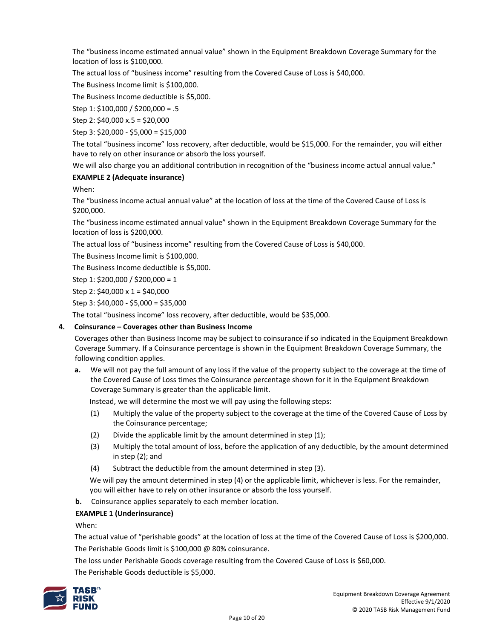The "business income estimated annual value" shown in the Equipment Breakdown Coverage Summary for the location of loss is \$100,000.

The actual loss of "business income" resulting from the Covered Cause of Loss is \$40,000.

The Business Income limit is \$100,000.

The Business Income deductible is \$5,000.

Step 1: \$100,000 / \$200,000 = .5

Step 2: \$40,000 x.5 = \$20,000

Step 3: \$20,000 - \$5,000 = \$15,000

The total "business income" loss recovery, after deductible, would be \$15,000. For the remainder, you will either have to rely on other insurance or absorb the loss yourself.

We will also charge you an additional contribution in recognition of the "business income actual annual value."

#### **EXAMPLE 2 (Adequate insurance)**

When:

The "business income actual annual value" at the location of loss at the time of the Covered Cause of Loss is \$200,000.

The "business income estimated annual value" shown in the Equipment Breakdown Coverage Summary for the location of loss is \$200,000.

The actual loss of "business income" resulting from the Covered Cause of Loss is \$40,000.

The Business Income limit is \$100,000.

The Business Income deductible is \$5,000.

Step 1: \$200,000 / \$200,000 = 1

Step 2:  $$40,000 \times 1 = $40,000$ 

Step 3: \$40,000 - \$5,000 = \$35,000

The total "business income" loss recovery, after deductible, would be \$35,000.

#### **4. Coinsurance – Coverages other than Business Income**

Coverages other than Business Income may be subject to coinsurance if so indicated in the Equipment Breakdown Coverage Summary. If a Coinsurance percentage is shown in the Equipment Breakdown Coverage Summary, the following condition applies.

**a.** We will not pay the full amount of any loss if the value of the property subject to the coverage at the time of the Covered Cause of Loss times the Coinsurance percentage shown for it in the Equipment Breakdown Coverage Summary is greater than the applicable limit.

Instead, we will determine the most we will pay using the following steps:

- (1) Multiply the value of the property subject to the coverage at the time of the Covered Cause of Loss by the Coinsurance percentage;
- (2) Divide the applicable limit by the amount determined in step (1);
- (3) Multiply the total amount of loss, before the application of any deductible, by the amount determined in step (2); and
- (4) Subtract the deductible from the amount determined in step (3).

We will pay the amount determined in step (4) or the applicable limit, whichever is less. For the remainder, you will either have to rely on other insurance or absorb the loss yourself.

**b.** Coinsurance applies separately to each member location.

#### **EXAMPLE 1 (Underinsurance)**

When:

The actual value of "perishable goods" at the location of loss at the time of the Covered Cause of Loss is \$200,000. The Perishable Goods limit is \$100,000 @ 80% coinsurance.

The loss under Perishable Goods coverage resulting from the Covered Cause of Loss is \$60,000.

The Perishable Goods deductible is \$5,000.

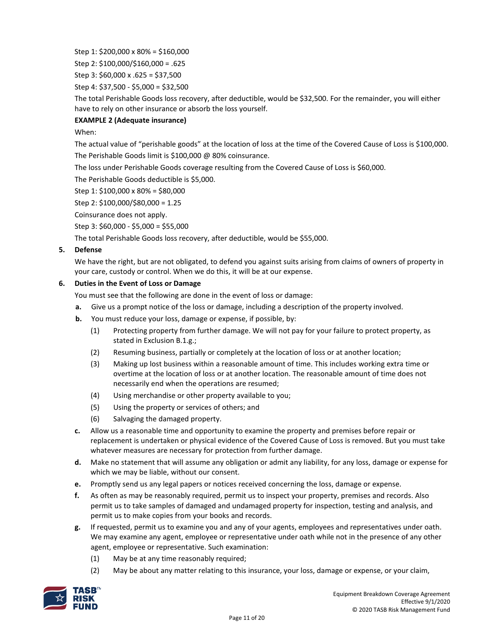Step 1: \$200,000 x 80% = \$160,000

Step 2: \$100,000/\$160,000 = .625

Step 3: \$60,000 x .625 = \$37,500

Step 4: \$37,500 - \$5,000 = \$32,500

The total Perishable Goods loss recovery, after deductible, would be \$32,500. For the remainder, you will either have to rely on other insurance or absorb the loss yourself.

# **EXAMPLE 2 (Adequate insurance)**

# When:

The actual value of "perishable goods" at the location of loss at the time of the Covered Cause of Loss is \$100,000. The Perishable Goods limit is \$100,000 @ 80% coinsurance.

The loss under Perishable Goods coverage resulting from the Covered Cause of Loss is \$60,000.

The Perishable Goods deductible is \$5,000.

Step 1: \$100,000 x 80% = \$80,000

Step 2: \$100,000/\$80,000 = 1.25

Coinsurance does not apply.

Step 3: \$60,000 - \$5,000 = \$55,000

The total Perishable Goods loss recovery, after deductible, would be \$55,000.

#### **5. Defense**

We have the right, but are not obligated, to defend you against suits arising from claims of owners of property in your care, custody or control. When we do this, it will be at our expense.

#### **6. Duties in the Event of Loss or Damage**

You must see that the following are done in the event of loss or damage:

- **a.** Give us a prompt notice of the loss or damage, including a description of the property involved.
- **b.** You must reduce your loss, damage or expense, if possible, by:
	- (1) Protecting property from further damage. We will not pay for your failure to protect property, as stated in Exclusion B.1.g.;
	- (2) Resuming business, partially or completely at the location of loss or at another location;
	- (3) Making up lost business within a reasonable amount of time. This includes working extra time or overtime at the location of loss or at another location. The reasonable amount of time does not necessarily end when the operations are resumed;
	- (4) Using merchandise or other property available to you;
	- (5) Using the property or services of others; and
	- (6) Salvaging the damaged property.
- **c.** Allow us a reasonable time and opportunity to examine the property and premises before repair or replacement is undertaken or physical evidence of the Covered Cause of Loss is removed. But you must take whatever measures are necessary for protection from further damage.
- **d.** Make no statement that will assume any obligation or admit any liability, for any loss, damage or expense for which we may be liable, without our consent.
- **e.** Promptly send us any legal papers or notices received concerning the loss, damage or expense.
- **f.** As often as may be reasonably required, permit us to inspect your property, premises and records. Also permit us to take samples of damaged and undamaged property for inspection, testing and analysis, and permit us to make copies from your books and records.
- **g.** If requested, permit us to examine you and any of your agents, employees and representatives under oath. We may examine any agent, employee or representative under oath while not in the presence of any other agent, employee or representative. Such examination:
	- (1) May be at any time reasonably required;
	- (2) May be about any matter relating to this insurance, your loss, damage or expense, or your claim,

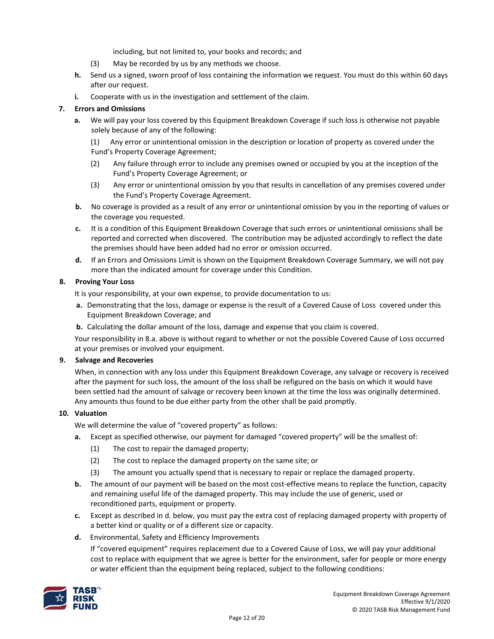including, but not limited to, your books and records; and

- (3) May be recorded by us by any methods we choose.
- **h.** Send us a signed, sworn proof of loss containing the information we request. You must do this within 60 days after our request.
- **i.** Cooperate with us in the investigation and settlement of the claim.

# **7. Errors and Omissions**

**a.** We will pay your loss covered by this Equipment Breakdown Coverage if such loss is otherwise not payable solely because of any of the following:

(1) Any error or unintentional omission in the description or location of property as covered under the Fund's Property Coverage Agreement;

- (2) Any failure through error to include any premises owned or occupied by you at the inception of the Fund's Property Coverage Agreement; or
- (3) Any error or unintentional omission by you that results in cancellation of any premises covered under the Fund's Property Coverage Agreement.
- **b.** No coverage is provided as a result of any error or unintentional omission by you in the reporting of values or the coverage you requested.
- **c.** It is a condition of this Equipment Breakdown Coverage that such errors or unintentional omissions shall be reported and corrected when discovered. The contribution may be adjusted accordingly to reflect the date the premises should have been added had no error or omission occurred.
- **d.** If an Errors and Omissions Limit is shown on the Equipment Breakdown Coverage Summary, we will not pay more than the indicated amount for coverage under this Condition.

# **8. Proving Your Loss**

It is your responsibility, at your own expense, to provide documentation to us:

- **a.** Demonstrating that the loss, damage or expense is the result of a Covered Cause of Loss covered under this Equipment Breakdown Coverage; and
- **b.** Calculating the dollar amount of the loss, damage and expense that you claim is covered.

Your responsibility in 8.a. above is without regard to whether or not the possible Covered Cause of Loss occurred at your premises or involved your equipment.

#### **9. Salvage and Recoveries**

When, in connection with any loss under this Equipment Breakdown Coverage, any salvage or recovery is received after the payment for such loss, the amount of the loss shall be refigured on the basis on which it would have been settled had the amount of salvage or recovery been known at the time the loss was originally determined. Any amounts thus found to be due either party from the other shall be paid promptly.

# **10. Valuation**

We will determine the value of "covered property" as follows:

- **a.** Except as specified otherwise, our payment for damaged "covered property" will be the smallest of:
	- (1) The cost to repair the damaged property;
	- (2) The cost to replace the damaged property on the same site; or
	- (3) The amount you actually spend that is necessary to repair or replace the damaged property.
- **b.** The amount of our payment will be based on the most cost-effective means to replace the function, capacity and remaining useful life of the damaged property. This may include the use of generic, used or reconditioned parts, equipment or property.
- **c.** Except as described in d. below, you must pay the extra cost of replacing damaged property with property of a better kind or quality or of a different size or capacity.
- **d.** Environmental, Safety and Efficiency Improvements

If "covered equipment" requires replacement due to a Covered Cause of Loss, we will pay your additional cost to replace with equipment that we agree is better for the environment, safer for people or more energy or water efficient than the equipment being replaced, subject to the following conditions:

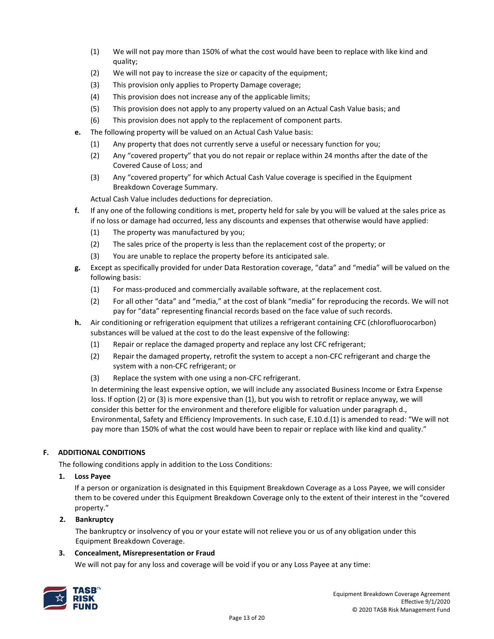- (1) We will not pay more than 150% of what the cost would have been to replace with like kind and quality;
- (2) We will not pay to increase the size or capacity of the equipment;
- (3) This provision only applies to Property Damage coverage;
- (4) This provision does not increase any of the applicable limits;
- (5) This provision does not apply to any property valued on an Actual Cash Value basis; and
- (6) This provision does not apply to the replacement of component parts.
- **e.** The following property will be valued on an Actual Cash Value basis:
	- (1) Any property that does not currently serve a useful or necessary function for you;
	- (2) Any "covered property" that you do not repair or replace within 24 months after the date of the Covered Cause of Loss; and
	- (3) Any "covered property" for which Actual Cash Value coverage is specified in the Equipment Breakdown Coverage Summary.

Actual Cash Value includes deductions for depreciation.

- **f.** If any one of the following conditions is met, property held for sale by you will be valued at the sales price as if no loss or damage had occurred, less any discounts and expenses that otherwise would have applied:
	- (1) The property was manufactured by you;
	- (2) The sales price of the property is less than the replacement cost of the property; or
	- (3) You are unable to replace the property before its anticipated sale.
- **g.** Except as specifically provided for under Data Restoration coverage, "data" and "media" will be valued on the following basis:
	- (1) For mass-produced and commercially available software, at the replacement cost.
	- (2) For all other "data" and "media," at the cost of blank "media" for reproducing the records. We will not pay for "data" representing financial records based on the face value of such records.
- **h.** Air conditioning or refrigeration equipment that utilizes a refrigerant containing CFC (chlorofluorocarbon) substances will be valued at the cost to do the least expensive of the following:
	- (1) Repair or replace the damaged property and replace any lost CFC refrigerant;
	- (2) Repair the damaged property, retrofit the system to accept a non-CFC refrigerant and charge the system with a non-CFC refrigerant; or
	- (3) Replace the system with one using a non-CFC refrigerant.

In determining the least expensive option, we will include any associated Business Income or Extra Expense loss. If option (2) or (3) is more expensive than (1), but you wish to retrofit or replace anyway, we will consider this better for the environment and therefore eligible for valuation under paragraph d., Environmental, Safety and Efficiency Improvements. In such case, E.10.d.(1) is amended to read: "We will not pay more than 150% of what the cost would have been to repair or replace with like kind and quality."

#### **F. ADDITIONAL CONDITIONS**

The following conditions apply in addition to the Loss Conditions:

**1. Loss Payee** 

If a person or organization is designated in this Equipment Breakdown Coverage as a Loss Payee, we will consider them to be covered under this Equipment Breakdown Coverage only to the extent of their interest in the "covered property."

# **2. Bankruptcy**

The bankruptcy or insolvency of you or your estate will not relieve you or us of any obligation under this Equipment Breakdown Coverage.

#### **3. Concealment, Misrepresentation or Fraud**

We will not pay for any loss and coverage will be void if you or any Loss Payee at any time:

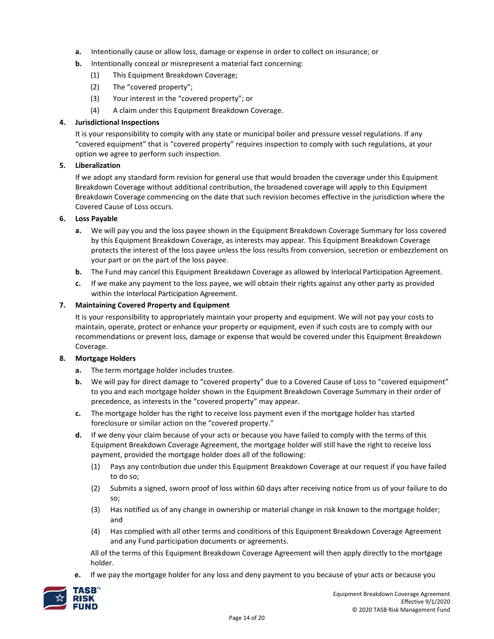- **a.** Intentionally cause or allow loss, damage or expense in order to collect on insurance; or
- **b.** Intentionally conceal or misrepresent a material fact concerning:
	- (1) This Equipment Breakdown Coverage;
	- (2) The "covered property";
	- (3) Your interest in the "covered property"; or
	- (4) A claim under this Equipment Breakdown Coverage.

#### **4. Jurisdictional Inspections**

It is your responsibility to comply with any state or municipal boiler and pressure vessel regulations. If any "covered equipment" that is "covered property" requires inspection to comply with such regulations, at your option we agree to perform such inspection.

# **5. Liberalization**

If we adopt any standard form revision for general use that would broaden the coverage under this Equipment Breakdown Coverage without additional contribution, the broadened coverage will apply to this Equipment Breakdown Coverage commencing on the date that such revision becomes effective in the jurisdiction where the Covered Cause of Loss occurs.

#### **6. Loss Payable**

- **a.** We will pay you and the loss payee shown in the Equipment Breakdown Coverage Summary for loss covered by this Equipment Breakdown Coverage, as interests may appear. This Equipment Breakdown Coverage protects the interest of the loss payee unless the loss results from conversion, secretion or embezzlement on your part or on the part of the loss payee.
- **b.** The Fund may cancel this Equipment Breakdown Coverage as allowed by Interlocal Participation Agreement.
- **c.** If we make any payment to the loss payee, we will obtain their rights against any other party as provided within the Interlocal Participation Agreement.

#### **7. Maintaining Covered Property and Equipment**

It is your responsibility to appropriately maintain your property and equipment. We will not pay your costs to maintain, operate, protect or enhance your property or equipment, even if such costs are to comply with our recommendations or prevent loss, damage or expense that would be covered under this Equipment Breakdown Coverage.

#### **8. Mortgage Holders**

- **a.** The term mortgage holder includes trustee.
- **b.** We will pay for direct damage to "covered property" due to a Covered Cause of Loss to "covered equipment" to you and each mortgage holder shown in the Equipment Breakdown Coverage Summary in their order of precedence, as interests in the "covered property" may appear.
- **c.** The mortgage holder has the right to receive loss payment even if the mortgage holder has started foreclosure or similar action on the "covered property."
- **d.** If we deny your claim because of your acts or because you have failed to comply with the terms of this Equipment Breakdown Coverage Agreement, the mortgage holder will still have the right to receive loss payment, provided the mortgage holder does all of the following:
	- (1) Pays any contribution due under this Equipment Breakdown Coverage at our request if you have failed to do so;
	- (2) Submits a signed, sworn proof of loss within 60 days after receiving notice from us of your failure to do so;
	- (3) Has notified us of any change in ownership or material change in risk known to the mortgage holder; and
	- (4) Has complied with all other terms and conditions of this Equipment Breakdown Coverage Agreement and any Fund participation documents or agreements.

All of the terms of this Equipment Breakdown Coverage Agreement will then apply directly to the mortgage holder.

**e.** If we pay the mortgage holder for any loss and deny payment to you because of your acts or because you

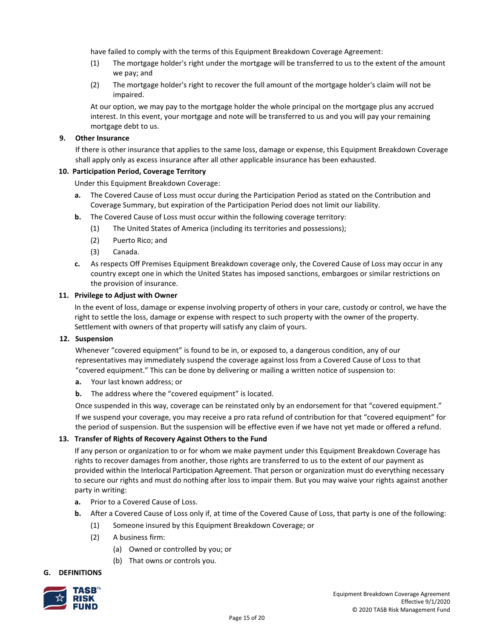have failed to comply with the terms of this Equipment Breakdown Coverage Agreement:

- (1) The mortgage holder's right under the mortgage will be transferred to us to the extent of the amount we pay; and
- (2) The mortgage holder's right to recover the full amount of the mortgage holder's claim will not be impaired.

At our option, we may pay to the mortgage holder the whole principal on the mortgage plus any accrued interest. In this event, your mortgage and note will be transferred to us and you will pay your remaining mortgage debt to us.

#### **9. Other Insurance**

If there is other insurance that applies to the same loss, damage or expense, this Equipment Breakdown Coverage shall apply only as excess insurance after all other applicable insurance has been exhausted.

#### **10. Participation Period, Coverage Territory**

Under this Equipment Breakdown Coverage:

- **a.** The Covered Cause of Loss must occur during the Participation Period as stated on the Contribution and Coverage Summary, but expiration of the Participation Period does not limit our liability.
- **b.** The Covered Cause of Loss must occur within the following coverage territory:
	- (1) The United States of America (including its territories and possessions);
	- (2) Puerto Rico; and
	- (3) Canada.
- **c.** As respects Off Premises Equipment Breakdown coverage only, the Covered Cause of Loss may occur in any country except one in which the United States has imposed sanctions, embargoes or similar restrictions on the provision of insurance.

#### **11. Privilege to Adjust with Owner**

In the event of loss, damage or expense involving property of others in your care, custody or control, we have the right to settle the loss, damage or expense with respect to such property with the owner of the property. Settlement with owners of that property will satisfy any claim of yours.

#### **12. Suspension**

Whenever "covered equipment" is found to be in, or exposed to, a dangerous condition, any of our representatives may immediately suspend the coverage against loss from a Covered Cause of Loss to that "covered equipment." This can be done by delivering or mailing a written notice of suspension to:

- **a.** Your last known address; or
- **b.** The address where the "covered equipment" is located.

Once suspended in this way, coverage can be reinstated only by an endorsement for that "covered equipment."

If we suspend your coverage, you may receive a pro rata refund of contribution for that "covered equipment" for the period of suspension. But the suspension will be effective even if we have not yet made or offered a refund.

#### **13. Transfer of Rights of Recovery Against Others to the Fund**

If any person or organization to or for whom we make payment under this Equipment Breakdown Coverage has rights to recover damages from another, those rights are transferred to us to the extent of our payment as provided within the Interlocal Participation Agreement. That person or organization must do everything necessary to secure our rights and must do nothing after loss to impair them. But you may waive your rights against another party in writing:

- **a.** Prior to a Covered Cause of Loss.
- **b.** After a Covered Cause of Loss only if, at time of the Covered Cause of Loss, that party is one of the following:
	- (1) Someone insured by this Equipment Breakdown Coverage; or
	- (2) A business firm:
		- (a) Owned or controlled by you; or
		- (b) That owns or controls you.

#### **G. DEFINITIONS**

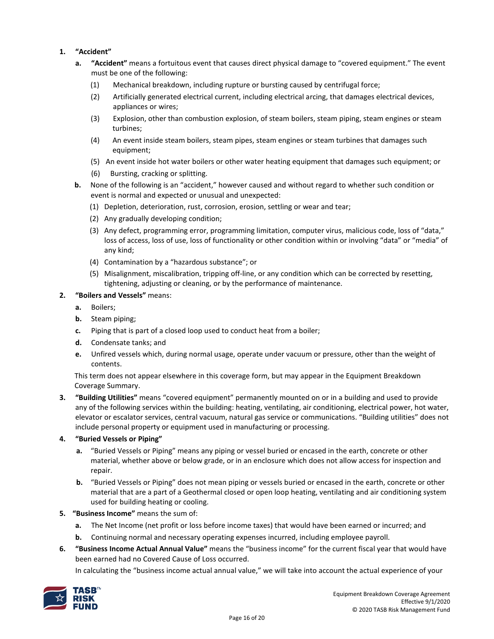# **1. "Accident"**

- **a. "Accident"** means a fortuitous event that causes direct physical damage to "covered equipment." The event must be one of the following:
	- (1) Mechanical breakdown, including rupture or bursting caused by centrifugal force;
	- (2) Artificially generated electrical current, including electrical arcing, that damages electrical devices, appliances or wires;
	- (3) Explosion, other than combustion explosion, of steam boilers, steam piping, steam engines or steam turbines;
	- (4) An event inside steam boilers, steam pipes, steam engines or steam turbines that damages such equipment;
	- (5) An event inside hot water boilers or other water heating equipment that damages such equipment; or
	- (6) Bursting, cracking or splitting.
- **b.** None of the following is an "accident," however caused and without regard to whether such condition or event is normal and expected or unusual and unexpected:
	- (1) Depletion, deterioration, rust, corrosion, erosion, settling or wear and tear;
	- (2) Any gradually developing condition;
	- (3) Any defect, programming error, programming limitation, computer virus, malicious code, loss of "data," loss of access, loss of use, loss of functionality or other condition within or involving "data" or "media" of any kind;
	- (4) Contamination by a "hazardous substance"; or
	- (5) Misalignment, miscalibration, tripping off-line, or any condition which can be corrected by resetting, tightening, adjusting or cleaning, or by the performance of maintenance.
- **2. "Boilers and Vessels"** means:
	- **a.** Boilers;
	- **b.** Steam piping;
	- **c.** Piping that is part of a closed loop used to conduct heat from a boiler;
	- **d.** Condensate tanks; and
	- **e.** Unfired vessels which, during normal usage, operate under vacuum or pressure, other than the weight of contents.

This term does not appear elsewhere in this coverage form, but may appear in the Equipment Breakdown Coverage Summary.

- **3. "Building Utilities"** means "covered equipment" permanently mounted on or in a building and used to provide any of the following services within the building: heating, ventilating, air conditioning, electrical power, hot water, elevator or escalator services, central vacuum, natural gas service or communications. "Building utilities" does not include personal property or equipment used in manufacturing or processing.
- **4. "Buried Vessels or Piping"**
	- **a.** "Buried Vessels or Piping" means any piping or vessel buried or encased in the earth, concrete or other material, whether above or below grade, or in an enclosure which does not allow access for inspection and repair.
	- **b.** "Buried Vessels or Piping" does not mean piping or vessels buried or encased in the earth, concrete or other material that are a part of a Geothermal closed or open loop heating, ventilating and air conditioning system used for building heating or cooling.
- **5. "Business Income"** means the sum of:
	- **a.** The Net Income (net profit or loss before income taxes) that would have been earned or incurred; and
	- **b.** Continuing normal and necessary operating expenses incurred, including employee payroll.
- **6. "Business Income Actual Annual Value"** means the "business income" for the current fiscal year that would have been earned had no Covered Cause of Loss occurred.

In calculating the "business income actual annual value," we will take into account the actual experience of your

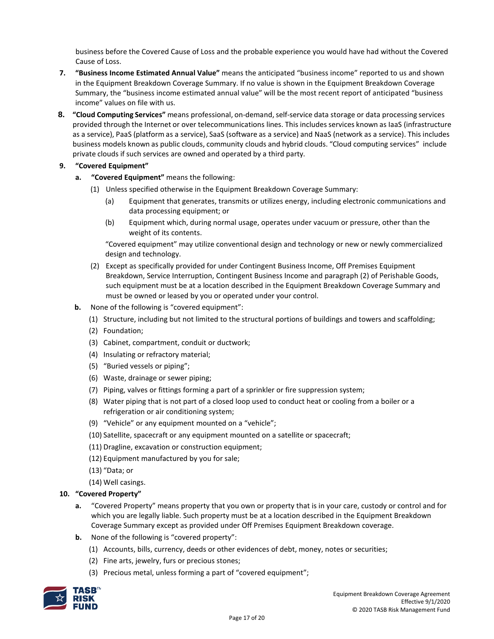business before the Covered Cause of Loss and the probable experience you would have had without the Covered Cause of Loss.

- **7. "Business Income Estimated Annual Value"** means the anticipated "business income" reported to us and shown in the Equipment Breakdown Coverage Summary. If no value is shown in the Equipment Breakdown Coverage Summary, the "business income estimated annual value" will be the most recent report of anticipated "business income" values on file with us.
- **8. "Cloud Computing Services"** means professional, on-demand,self-service data storage or data processing services provided through the Internet or over telecommunications lines. This includes services known as IaaS (infrastructure as a service), PaaS (platform as a service), SaaS (software as a service) and NaaS (network as a service). This includes business models known as public clouds, community clouds and hybrid clouds. "Cloud computing services" include private clouds if such services are owned and operated by a third party.

# **9. "Covered Equipment"**

- **a. "Covered Equipment"** means the following:
	- (1) Unless specified otherwise in the Equipment Breakdown Coverage Summary:
		- (a) Equipment that generates, transmits or utilizes energy, including electronic communications and data processing equipment; or
		- (b) Equipment which, during normal usage, operates under vacuum or pressure, other than the weight of its contents.

"Covered equipment" may utilize conventional design and technology or new or newly commercialized design and technology.

- (2) Except as specifically provided for under Contingent Business Income, Off Premises Equipment Breakdown, Service Interruption, Contingent Business Income and paragraph (2) of Perishable Goods, such equipment must be at a location described in the Equipment Breakdown Coverage Summary and must be owned or leased by you or operated under your control.
- **b.** None of the following is "covered equipment":
	- (1) Structure, including but not limited to the structural portions of buildings and towers and scaffolding;
	- (2) Foundation;
	- (3) Cabinet, compartment, conduit or ductwork;
	- (4) Insulating or refractory material;
	- (5) "Buried vessels or piping";
	- (6) Waste, drainage or sewer piping;
	- (7) Piping, valves or fittings forming a part of a sprinkler or fire suppression system;
	- (8) Water piping that is not part of a closed loop used to conduct heat or cooling from a boiler or a refrigeration or air conditioning system;
	- (9) "Vehicle" or any equipment mounted on a "vehicle";
	- (10) Satellite, spacecraft or any equipment mounted on a satellite or spacecraft;
	- (11) Dragline, excavation or construction equipment;
	- (12) Equipment manufactured by you for sale;
	- (13) "Data; or
	- (14) Well casings.

#### **10. "Covered Property"**

- **a.** "Covered Property" means property that you own or property that is in your care, custody or control and for which you are legally liable. Such property must be at a location described in the Equipment Breakdown Coverage Summary except as provided under Off Premises Equipment Breakdown coverage.
- **b.** None of the following is "covered property":
	- (1) Accounts, bills, currency, deeds or other evidences of debt, money, notes or securities;
	- (2) Fine arts, jewelry, furs or precious stones;
	- (3) Precious metal, unless forming a part of "covered equipment";

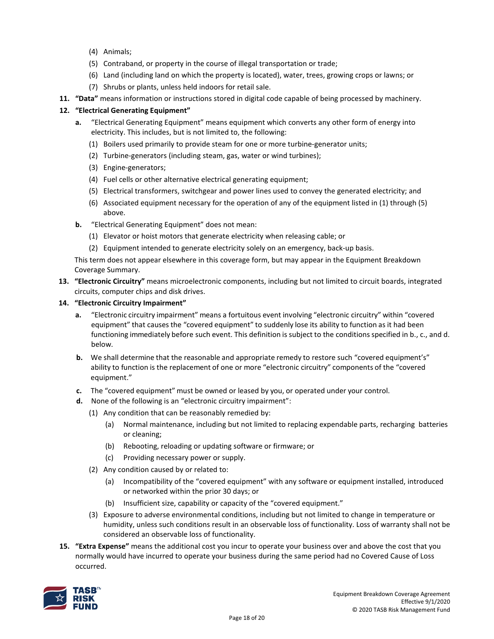- (4) Animals;
- (5) Contraband, or property in the course of illegal transportation or trade;
- (6) Land (including land on which the property is located), water, trees, growing crops or lawns; or
- (7) Shrubs or plants, unless held indoors for retail sale.
- **11. "Data"** means information or instructions stored in digital code capable of being processed by machinery.

# **12. "Electrical Generating Equipment"**

- **a.** "Electrical Generating Equipment" means equipment which converts any other form of energy into electricity. This includes, but is not limited to, the following:
	- (1) Boilers used primarily to provide steam for one or more turbine-generator units;
	- (2) Turbine-generators (including steam, gas, water or wind turbines);
	- (3) Engine-generators;
	- (4) Fuel cells or other alternative electrical generating equipment;
	- (5) Electrical transformers, switchgear and power lines used to convey the generated electricity; and
	- (6) Associated equipment necessary for the operation of any of the equipment listed in (1) through (5) above.
- **b.** "Electrical Generating Equipment" does not mean:
	- (1) Elevator or hoist motors that generate electricity when releasing cable; or
	- (2) Equipment intended to generate electricity solely on an emergency, back-up basis.

This term does not appear elsewhere in this coverage form, but may appear in the Equipment Breakdown Coverage Summary.

**13. "Electronic Circuitry"** means microelectronic components, including but not limited to circuit boards, integrated circuits, computer chips and disk drives.

#### **14. "Electronic Circuitry Impairment"**

- **a.** "Electronic circuitry impairment" means a fortuitous event involving "electronic circuitry" within "covered equipment" that causes the "covered equipment" to suddenly lose its ability to function as it had been functioning immediately before such event. This definition is subject to the conditions specified in b., c., and d. below.
- **b.** We shall determine that the reasonable and appropriate remedy to restore such "covered equipment's" ability to function is the replacement of one or more "electronic circuitry" components of the "covered equipment."
- **c.** The "covered equipment" must be owned or leased by you, or operated under your control.
- **d.** None of the following is an "electronic circuitry impairment":
	- (1) Any condition that can be reasonably remedied by:
		- (a) Normal maintenance, including but not limited to replacing expendable parts, recharging batteries or cleaning;
		- (b) Rebooting, reloading or updating software or firmware; or
		- (c) Providing necessary power or supply.
	- (2) Any condition caused by or related to:
		- (a) Incompatibility of the "covered equipment" with any software or equipment installed, introduced or networked within the prior 30 days; or
		- (b) Insufficient size, capability or capacity of the "covered equipment."
	- (3) Exposure to adverse environmental conditions, including but not limited to change in temperature or humidity, unless such conditions result in an observable loss of functionality. Loss of warranty shall not be considered an observable loss of functionality.
- **15. "Extra Expense"** means the additional cost you incur to operate your business over and above the cost that you normally would have incurred to operate your business during the same period had no Covered Cause of Loss occurred.

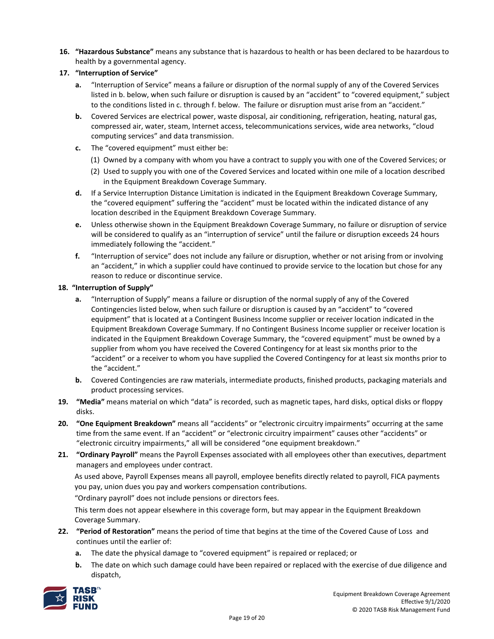**16. "Hazardous Substance"** means any substance that is hazardous to health or has been declared to be hazardous to health by a governmental agency.

# **17. "Interruption of Service"**

- **a.** "Interruption of Service" means a failure or disruption of the normal supply of any of the Covered Services listed in b. below, when such failure or disruption is caused by an "accident" to "covered equipment," subject to the conditions listed in c. through f. below. The failure or disruption must arise from an "accident."
- **b.** Covered Services are electrical power, waste disposal, air conditioning, refrigeration, heating, natural gas, compressed air, water, steam, Internet access, telecommunications services, wide area networks, "cloud computing services" and data transmission.
- **c.** The "covered equipment" must either be:
	- (1) Owned by a company with whom you have a contract to supply you with one of the Covered Services; or
	- (2) Used to supply you with one of the Covered Services and located within one mile of a location described in the Equipment Breakdown Coverage Summary.
- **d.** If a Service Interruption Distance Limitation is indicated in the Equipment Breakdown Coverage Summary, the "covered equipment" suffering the "accident" must be located within the indicated distance of any location described in the Equipment Breakdown Coverage Summary.
- **e.** Unless otherwise shown in the Equipment Breakdown Coverage Summary, no failure or disruption of service will be considered to qualify as an "interruption of service" until the failure or disruption exceeds 24 hours immediately following the "accident."
- **f.** "Interruption of service" does not include any failure or disruption, whether or not arising from or involving an "accident," in which a supplier could have continued to provide service to the location but chose for any reason to reduce or discontinue service.

# **18. "Interruption of Supply"**

- **a.** "Interruption of Supply" means a failure or disruption of the normal supply of any of the Covered Contingencies listed below, when such failure or disruption is caused by an "accident" to "covered equipment" that is located at a Contingent Business Income supplier or receiver location indicated in the Equipment Breakdown Coverage Summary. If no Contingent Business Income supplier or receiver location is indicated in the Equipment Breakdown Coverage Summary, the "covered equipment" must be owned by a supplier from whom you have received the Covered Contingency for at least six months prior to the "accident" or a receiver to whom you have supplied the Covered Contingency for at least six months prior to the "accident."
- **b.** Covered Contingencies are raw materials, intermediate products, finished products, packaging materials and product processing services.
- **19. "Media"** means material on which "data" is recorded, such as magnetic tapes, hard disks, optical disks or floppy disks.
- **20. "One Equipment Breakdown"** means all "accidents" or "electronic circuitry impairments" occurring at the same time from the same event. If an "accident" or "electronic circuitry impairment" causes other "accidents" or "electronic circuitry impairments," all will be considered "one equipment breakdown."
- **21. "Ordinary Payroll"** means the Payroll Expenses associated with all employees other than executives, department managers and employees under contract.

As used above, Payroll Expenses means all payroll, employee benefits directly related to payroll, FICA payments you pay, union dues you pay and workers compensation contributions.

"Ordinary payroll" does not include pensions or directors fees.

This term does not appear elsewhere in this coverage form, but may appear in the Equipment Breakdown Coverage Summary.

- **22. "Period of Restoration"** means the period of time that begins at the time of the Covered Cause of Loss and continues until the earlier of:
	- **a.** The date the physical damage to "covered equipment" is repaired or replaced; or
	- **b.** The date on which such damage could have been repaired or replaced with the exercise of due diligence and dispatch,